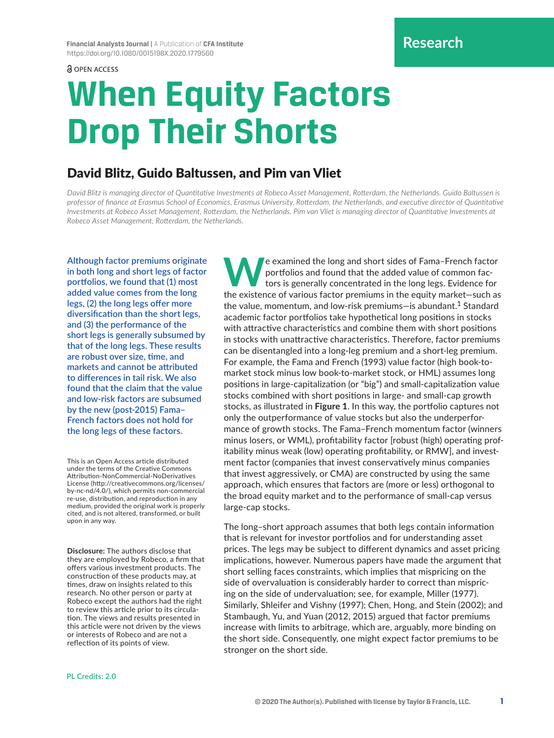a OPEN ACCESS

# **When Equity Factors Drop Their Shorts**

## David Blitz, Guido Baltussen, and Pim van Vliet

*David Blitz is managing director of Quantitative Investments at Robeco Asset Management, Rotterdam, the Netherlands. Guido Baltussen is professor of finance at Erasmus School of Economics, Erasmus University, Rotterdam, the Netherlands, and executive director of Quantitative Investments at Robeco Asset Management, Rotterdam, the Netherlands. Pim van Vliet is managing director of Quantitative Investments at Robeco Asset Management, Rotterdam, the Netherlands.*

**Although factor premiums originate in both long and short legs of factor portfolios, we found that (1) most added value comes from the long legs, (2) the long legs offer more diversification than the short legs, and (3) the performance of the short legs is generally subsumed by that of the long legs. These results are robust over size, time, and markets and cannot be attributed to differences in tail risk. We also found that the claim that the value and low-risk factors are subsumed by the new (post-2015) Fama– French factors does not hold for the long legs of these factors.**

This is an Open Access article distributed under the terms of the Creative Commons Attribution-NonCommercial-NoDerivatives License [\(http://creativecommons.org/licenses/](http://creativecommons.org/licenses/by-nc-nd/4.0/) [by-nc-nd/4.0/](http://creativecommons.org/licenses/by-nc-nd/4.0/)), which permits non-commercial re-use, distribution, and reproduction in any medium, provided the original work is properly cited, and is not altered, transformed, or built upon in any way.

**Disclosure:** The authors disclose that they are employed by Robeco, a firm that offers various investment products. The construction of these products may, at times, draw on insights related to this research. No other person or party at Robeco except the authors had the right to review this article prior to its circulation. The views and results presented in this article were not driven by the views or interests of Robeco and are not a reflection of its points of view.

**W**e examined the long and short sides of Fama–French factor portfolios and found that the added value of common factors is generally concentrated in the long legs. Evidence for the existence of various factor premiums in the equity market—such as the value, momentum, and low-risk premiums—is abundant.<sup>1</sup> Standard academic factor portfolios take hypothetical long positions in stocks with attractive characteristics and combine them with short positions in stocks with unattractive characteristics. Therefore, factor premiums can be disentangled into a long-leg premium and a short-leg premium. For example, the Fama and French (1993) value factor (high book-tomarket stock minus low book-to-market stock, or HML) assumes long positions in large-capitalization (or "big") and small-capitalization value stocks combined with short positions in large- and small-cap growth stocks, as illustrated in **Figure 1**. In this way, the portfolio captures not only the outperformance of value stocks but also the underperformance of growth stocks. The Fama–French momentum factor (winners minus losers, or WML), profitability factor [robust (high) operating profitability minus weak (low) operating profitability, or RMW], and investment factor (companies that invest conservatively minus companies that invest aggressively, or CMA) are constructed by using the same approach, which ensures that factors are (more or less) orthogonal to the broad equity market and to the performance of small-cap versus large-cap stocks.

The long–short approach assumes that both legs contain information that is relevant for investor portfolios and for understanding asset prices. The legs may be subject to different dynamics and asset pricing implications, however. Numerous papers have made the argument that short selling faces constraints, which implies that mispricing on the side of overvaluation is considerably harder to correct than mispricing on the side of undervaluation; see, for example, Miller (1977). Similarly, Shleifer and Vishny (1997); Chen, Hong, and Stein (2002); and Stambaugh, Yu, and Yuan (2012, 2015) argued that factor premiums increase with limits to arbitrage, which are, arguably, more binding on the short side. Consequently, one might expect factor premiums to be stronger on the short side.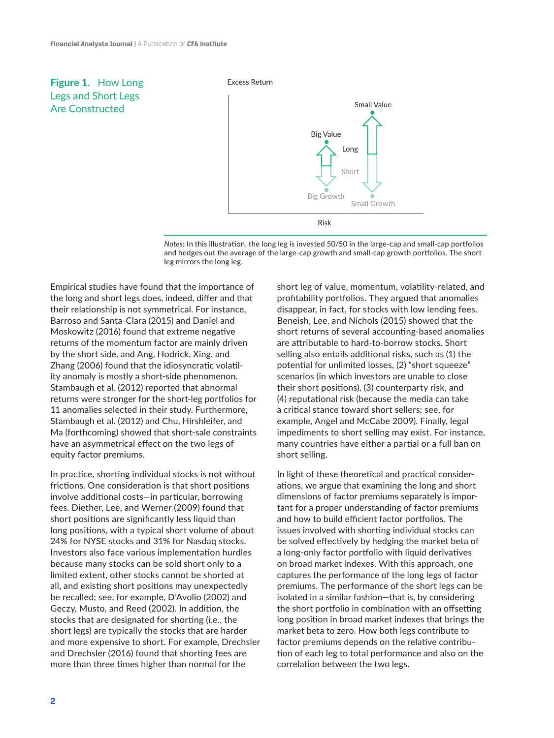## **Figure 1.** How Long Legs and Short Legs Are Constructed

#### Excess Return





Empirical studies have found that the importance of the long and short legs does, indeed, differ and that their relationship is not symmetrical. For instance, Barroso and Santa-Clara (2015) and Daniel and Moskowitz (2016) found that extreme negative returns of the momentum factor are mainly driven by the short side, and Ang, Hodrick, Xing, and Zhang (2006) found that the idiosyncratic volatility anomaly is mostly a short-side phenomenon. Stambaugh et al. (2012) reported that abnormal returns were stronger for the short-leg portfolios for 11 anomalies selected in their study. Furthermore, Stambaugh et al. (2012) and Chu, Hirshleifer, and Ma (forthcoming) showed that short-sale constraints have an asymmetrical effect on the two legs of equity factor premiums.

In practice, shorting individual stocks is not without frictions. One consideration is that short positions involve additional costs—in particular, borrowing fees. Diether, Lee, and Werner (2009) found that short positions are significantly less liquid than long positions, with a typical short volume of about 24% for NYSE stocks and 31% for Nasdaq stocks. Investors also face various implementation hurdles because many stocks can be sold short only to a limited extent, other stocks cannot be shorted at all, and existing short positions may unexpectedly be recalled; see, for example, D'Avolio (2002) and Geczy, Musto, and Reed (2002). In addition, the stocks that are designated for shorting (i.e., the short legs) are typically the stocks that are harder and more expensive to short. For example, Drechsler and Drechsler (2016) found that shorting fees are more than three times higher than normal for the

short leg of value, momentum, volatility-related, and profitability portfolios. They argued that anomalies disappear, in fact, for stocks with low lending fees. Beneish, Lee, and Nichols (2015) showed that the short returns of several accounting-based anomalies are attributable to hard-to-borrow stocks. Short selling also entails additional risks, such as (1) the potential for unlimited losses, (2) "short squeeze" scenarios (in which investors are unable to close their short positions), (3) counterparty risk, and (4) reputational risk (because the media can take a critical stance toward short sellers; see, for example, Angel and McCabe 2009). Finally, legal impediments to short selling may exist. For instance, many countries have either a partial or a full ban on short selling.

In light of these theoretical and practical considerations, we argue that examining the long and short dimensions of factor premiums separately is important for a proper understanding of factor premiums and how to build efficient factor portfolios. The issues involved with shorting individual stocks can be solved effectively by hedging the market beta of a long-only factor portfolio with liquid derivatives on broad market indexes. With this approach, one captures the performance of the long legs of factor premiums. The performance of the short legs can be isolated in a similar fashion—that is, by considering the short portfolio in combination with an offsetting long position in broad market indexes that brings the market beta to zero. How both legs contribute to factor premiums depends on the relative contribution of each leg to total performance and also on the correlation between the two legs.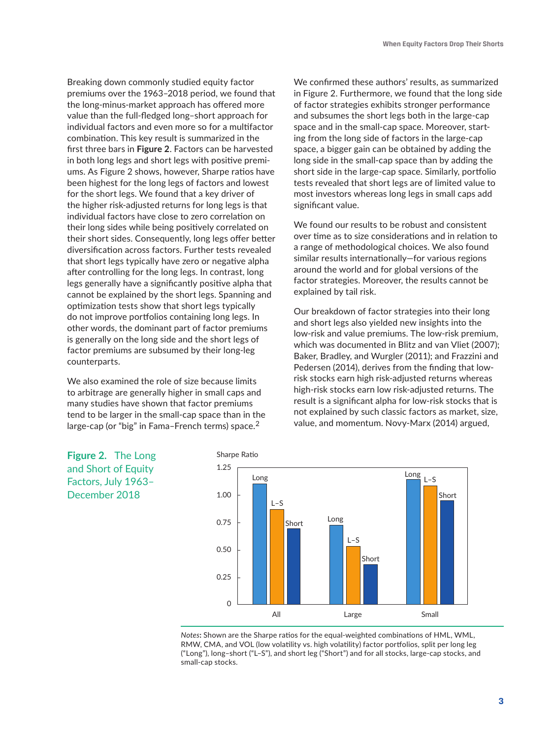Breaking down commonly studied equity factor premiums over the 1963–2018 period, we found that the long-minus-market approach has offered more value than the full-fledged long–short approach for individual factors and even more so for a multifactor combination. This key result is summarized in the first three bars in **Figure 2**. Factors can be harvested in both long legs and short legs with positive premiums. As Figure 2 shows, however, Sharpe ratios have been highest for the long legs of factors and lowest for the short legs. We found that a key driver of the higher risk-adjusted returns for long legs is that individual factors have close to zero correlation on their long sides while being positively correlated on their short sides. Consequently, long legs offer better diversification across factors. Further tests revealed that short legs typically have zero or negative alpha after controlling for the long legs. In contrast, long legs generally have a significantly positive alpha that cannot be explained by the short legs. Spanning and optimization tests show that short legs typically do not improve portfolios containing long legs. In other words, the dominant part of factor premiums is generally on the long side and the short legs of factor premiums are subsumed by their long-leg counterparts.

We also examined the role of size because limits to arbitrage are generally higher in small caps and many studies have shown that factor premiums tend to be larger in the small-cap space than in the large-cap (or "big" in Fama–French terms) space.<sup>2</sup>

We confirmed these authors' results, as summarized in Figure 2. Furthermore, we found that the long side of factor strategies exhibits stronger performance and subsumes the short legs both in the large-cap space and in the small-cap space. Moreover, starting from the long side of factors in the large-cap space, a bigger gain can be obtained by adding the long side in the small-cap space than by adding the short side in the large-cap space. Similarly, portfolio tests revealed that short legs are of limited value to most investors whereas long legs in small caps add significant value.

We found our results to be robust and consistent over time as to size considerations and in relation to a range of methodological choices. We also found similar results internationally—for various regions around the world and for global versions of the factor strategies. Moreover, the results cannot be explained by tail risk.

Our breakdown of factor strategies into their long and short legs also yielded new insights into the low-risk and value premiums. The low-risk premium, which was documented in Blitz and van Vliet (2007); Baker, Bradley, and Wurgler (2011); and Frazzini and Pedersen (2014), derives from the finding that lowrisk stocks earn high risk-adjusted returns whereas high-risk stocks earn low risk-adjusted returns. The result is a significant alpha for low-risk stocks that is not explained by such classic factors as market, size, value, and momentum. Novy-Marx (2014) argued,





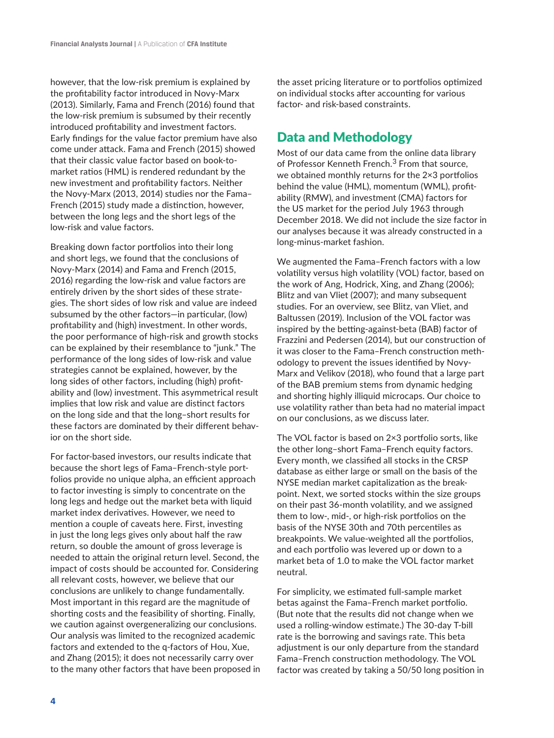however, that the low-risk premium is explained by the profitability factor introduced in Novy-Marx (2013). Similarly, Fama and French (2016) found that the low-risk premium is subsumed by their recently introduced profitability and investment factors. Early findings for the value factor premium have also come under attack. Fama and French (2015) showed that their classic value factor based on book-tomarket ratios (HML) is rendered redundant by the new investment and profitability factors. Neither the Novy-Marx (2013, 2014) studies nor the Fama– French (2015) study made a distinction, however, between the long legs and the short legs of the low-risk and value factors.

Breaking down factor portfolios into their long and short legs, we found that the conclusions of Novy-Marx (2014) and Fama and French (2015, 2016) regarding the low-risk and value factors are entirely driven by the short sides of these strategies. The short sides of low risk and value are indeed subsumed by the other factors—in particular, (low) profitability and (high) investment. In other words, the poor performance of high-risk and growth stocks can be explained by their resemblance to "junk." The performance of the long sides of low-risk and value strategies cannot be explained, however, by the long sides of other factors, including (high) profitability and (low) investment. This asymmetrical result implies that low risk and value are distinct factors on the long side and that the long–short results for these factors are dominated by their different behavior on the short side.

For factor-based investors, our results indicate that because the short legs of Fama–French-style portfolios provide no unique alpha, an efficient approach to factor investing is simply to concentrate on the long legs and hedge out the market beta with liquid market index derivatives. However, we need to mention a couple of caveats here. First, investing in just the long legs gives only about half the raw return, so double the amount of gross leverage is needed to attain the original return level. Second, the impact of costs should be accounted for. Considering all relevant costs, however, we believe that our conclusions are unlikely to change fundamentally. Most important in this regard are the magnitude of shorting costs and the feasibility of shorting. Finally, we caution against overgeneralizing our conclusions. Our analysis was limited to the recognized academic factors and extended to the q-factors of Hou, Xue, and Zhang (2015); it does not necessarily carry over to the many other factors that have been proposed in the asset pricing literature or to portfolios optimized on individual stocks after accounting for various factor- and risk-based constraints.

## Data and Methodology

Most of our data came from the online data library of Professor Kenneth French.<sup>3</sup> From that source, we obtained monthly returns for the 2×3 portfolios behind the value (HML), momentum (WML), profitability (RMW), and investment (CMA) factors for the US market for the period July 1963 through December 2018. We did not include the size factor in our analyses because it was already constructed in a long-minus-market fashion.

We augmented the Fama–French factors with a low volatility versus high volatility (VOL) factor, based on the work of Ang, Hodrick, Xing, and Zhang (2006); Blitz and van Vliet (2007); and many subsequent studies. For an overview, see Blitz, van Vliet, and Baltussen (2019). Inclusion of the VOL factor was inspired by the betting-against-beta (BAB) factor of Frazzini and Pedersen (2014), but our construction of it was closer to the Fama–French construction methodology to prevent the issues identified by Novy-Marx and Velikov (2018), who found that a large part of the BAB premium stems from dynamic hedging and shorting highly illiquid microcaps. Our choice to use volatility rather than beta had no material impact on our conclusions, as we discuss later.

The VOL factor is based on 2×3 portfolio sorts, like the other long–short Fama–French equity factors. Every month, we classified all stocks in the CRSP database as either large or small on the basis of the NYSE median market capitalization as the breakpoint. Next, we sorted stocks within the size groups on their past 36-month volatility, and we assigned them to low-, mid-, or high-risk portfolios on the basis of the NYSE 30th and 70th percentiles as breakpoints. We value-weighted all the portfolios, and each portfolio was levered up or down to a market beta of 1.0 to make the VOL factor market neutral.

For simplicity, we estimated full-sample market betas against the Fama–French market portfolio. (But note that the results did not change when we used a rolling-window estimate.) The 30-day T-bill rate is the borrowing and savings rate. This beta adjustment is our only departure from the standard Fama–French construction methodology. The VOL factor was created by taking a 50/50 long position in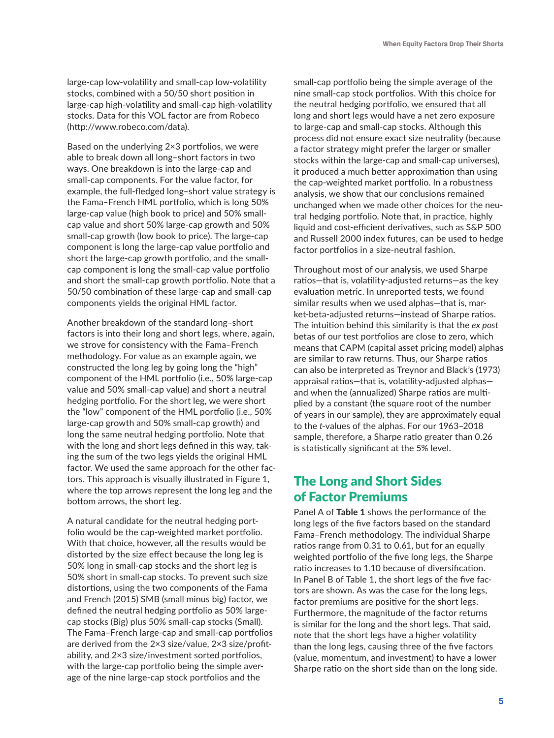large-cap low-volatility and small-cap low-volatility stocks, combined with a 50/50 short position in large-cap high-volatility and small-cap high-volatility stocks. Data for this VOL factor are from Robeco (<http://www.robeco.com/data>).

Based on the underlying 2×3 portfolios, we were able to break down all long–short factors in two ways. One breakdown is into the large-cap and small-cap components. For the value factor, for example, the full-fledged long–short value strategy is the Fama–French HML portfolio, which is long 50% large-cap value (high book to price) and 50% smallcap value and short 50% large-cap growth and 50% small-cap growth (low book to price). The large-cap component is long the large-cap value portfolio and short the large-cap growth portfolio, and the smallcap component is long the small-cap value portfolio and short the small-cap growth portfolio. Note that a 50/50 combination of these large-cap and small-cap components yields the original HML factor.

Another breakdown of the standard long–short factors is into their long and short legs, where, again, we strove for consistency with the Fama–French methodology. For value as an example again, we constructed the long leg by going long the "high" component of the HML portfolio (i.e., 50% large-cap value and 50% small-cap value) and short a neutral hedging portfolio. For the short leg, we were short the "low" component of the HML portfolio (i.e., 50% large-cap growth and 50% small-cap growth) and long the same neutral hedging portfolio. Note that with the long and short legs defined in this way, taking the sum of the two legs yields the original HML factor. We used the same approach for the other factors. This approach is visually illustrated in Figure 1, where the top arrows represent the long leg and the bottom arrows, the short leg.

A natural candidate for the neutral hedging portfolio would be the cap-weighted market portfolio. With that choice, however, all the results would be distorted by the size effect because the long leg is 50% long in small-cap stocks and the short leg is 50% short in small-cap stocks. To prevent such size distortions, using the two components of the Fama and French (2015) SMB (small minus big) factor, we defined the neutral hedging portfolio as 50% largecap stocks (Big) plus 50% small-cap stocks (Small). The Fama–French large-cap and small-cap portfolios are derived from the 2×3 size/value, 2×3 size/profitability, and 2×3 size/investment sorted portfolios, with the large-cap portfolio being the simple average of the nine large-cap stock portfolios and the

small-cap portfolio being the simple average of the nine small-cap stock portfolios. With this choice for the neutral hedging portfolio, we ensured that all long and short legs would have a net zero exposure to large-cap and small-cap stocks. Although this process did not ensure exact size neutrality (because a factor strategy might prefer the larger or smaller stocks within the large-cap and small-cap universes), it produced a much better approximation than using the cap-weighted market portfolio. In a robustness analysis, we show that our conclusions remained unchanged when we made other choices for the neutral hedging portfolio. Note that, in practice, highly liquid and cost-efficient derivatives, such as S&P 500 and Russell 2000 index futures, can be used to hedge factor portfolios in a size-neutral fashion.

Throughout most of our analysis, we used Sharpe ratios—that is, volatility-adjusted returns—as the key evaluation metric. In unreported tests, we found similar results when we used alphas—that is, market-beta-adjusted returns—instead of Sharpe ratios. The intuition behind this similarity is that the *ex post* betas of our test portfolios are close to zero, which means that CAPM (capital asset pricing model) alphas are similar to raw returns. Thus, our Sharpe ratios can also be interpreted as Treynor and Black's (1973) appraisal ratios—that is, volatility-adjusted alphas and when the (annualized) Sharpe ratios are multiplied by a constant (the square root of the number of years in our sample), they are approximately equal to the *t*-values of the alphas. For our 1963–2018 sample, therefore, a Sharpe ratio greater than 0.26 is statistically significant at the 5% level.

## The Long and Short Sides of Factor Premiums

Panel A of **Table 1** shows the performance of the long legs of the five factors based on the standard Fama–French methodology. The individual Sharpe ratios range from 0.31 to 0.61, but for an equally weighted portfolio of the five long legs, the Sharpe ratio increases to 1.10 because of diversification. In Panel B of Table 1, the short legs of the five factors are shown. As was the case for the long legs, factor premiums are positive for the short legs. Furthermore, the magnitude of the factor returns is similar for the long and the short legs. That said, note that the short legs have a higher volatility than the long legs, causing three of the five factors (value, momentum, and investment) to have a lower Sharpe ratio on the short side than on the long side.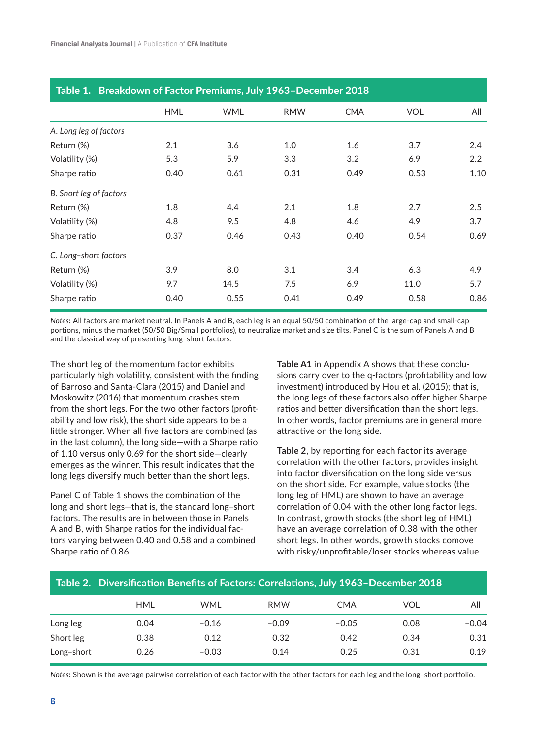| Table 1. Breakdown of Factor Premiums, July 1963-December 2018 |            |            |            |            |            |      |  |  |
|----------------------------------------------------------------|------------|------------|------------|------------|------------|------|--|--|
|                                                                | <b>HML</b> | <b>WML</b> | <b>RMW</b> | <b>CMA</b> | <b>VOL</b> | All  |  |  |
| A. Long leg of factors                                         |            |            |            |            |            |      |  |  |
| Return (%)                                                     | 2.1        | 3.6        | 1.0        | 1.6        | 3.7        | 2.4  |  |  |
| Volatility (%)                                                 | 5.3        | 5.9        | 3.3        | 3.2        | 6.9        | 2.2  |  |  |
| Sharpe ratio                                                   | 0.40       | 0.61       | 0.31       | 0.49       | 0.53       | 1.10 |  |  |
| B. Short leg of factors                                        |            |            |            |            |            |      |  |  |
| Return (%)                                                     | 1.8        | 4.4        | 2.1        | 1.8        | 2.7        | 2.5  |  |  |
| Volatility (%)                                                 | 4.8        | 9.5        | 4.8        | 4.6        | 4.9        | 3.7  |  |  |
| Sharpe ratio                                                   | 0.37       | 0.46       | 0.43       | 0.40       | 0.54       | 0.69 |  |  |
| C. Long-short factors                                          |            |            |            |            |            |      |  |  |
| Return (%)                                                     | 3.9        | 8.0        | 3.1        | 3.4        | 6.3        | 4.9  |  |  |
| Volatility (%)                                                 | 9.7        | 14.5       | 7.5        | 6.9        | 11.0       | 5.7  |  |  |
| Sharpe ratio                                                   | 0.40       | 0.55       | 0.41       | 0.49       | 0.58       | 0.86 |  |  |

*Notes***:** All factors are market neutral. In Panels A and B, each leg is an equal 50/50 combination of the large-cap and small-cap portions, minus the market (50/50 Big/Small portfolios), to neutralize market and size tilts. Panel C is the sum of Panels A and B and the classical way of presenting long–short factors.

The short leg of the momentum factor exhibits particularly high volatility, consistent with the finding of Barroso and Santa-Clara (2015) and Daniel and Moskowitz (2016) that momentum crashes stem from the short legs. For the two other factors (profitability and low risk), the short side appears to be a little stronger. When all five factors are combined (as in the last column), the long side—with a Sharpe ratio of 1.10 versus only 0.69 for the short side—clearly emerges as the winner. This result indicates that the long legs diversify much better than the short legs.

Panel C of Table 1 shows the combination of the long and short legs—that is, the standard long–short factors. The results are in between those in Panels A and B, with Sharpe ratios for the individual factors varying between 0.40 and 0.58 and a combined Sharpe ratio of 0.86.

**Table A1** in Appendix A shows that these conclusions carry over to the q-factors (profitability and low investment) introduced by Hou et al. (2015); that is, the long legs of these factors also offer higher Sharpe ratios and better diversification than the short legs. In other words, factor premiums are in general more attractive on the long side.

**Table 2**, by reporting for each factor its average correlation with the other factors, provides insight into factor diversification on the long side versus on the short side. For example, value stocks (the long leg of HML) are shown to have an average correlation of 0.04 with the other long factor legs. In contrast, growth stocks (the short leg of HML) have an average correlation of 0.38 with the other short legs. In other words, growth stocks comove with risky/unprofitable/loser stocks whereas value

| Table 2. Diversification Benefits of Factors: Correlations, July 1963–December 2018 |         |  |  |  |  |  |  |  |  |
|-------------------------------------------------------------------------------------|---------|--|--|--|--|--|--|--|--|
| <b>HML</b><br><b>WML</b><br><b>RMW</b><br>VOL<br><b>CMA</b>                         | All     |  |  |  |  |  |  |  |  |
| Long leg<br>$-0.09$<br>$-0.05$<br>0.08<br>0.04<br>$-0.16$                           | $-0.04$ |  |  |  |  |  |  |  |  |
| Short leg<br>0.42<br>0.38<br>0.12<br>0.32<br>0.34                                   | 0.31    |  |  |  |  |  |  |  |  |
| Long-short<br>0.25<br>0.26<br>0.31<br>$-0.03$<br>0.14                               | 0.19    |  |  |  |  |  |  |  |  |

*Notes***:** Shown is the average pairwise correlation of each factor with the other factors for each leg and the long–short portfolio.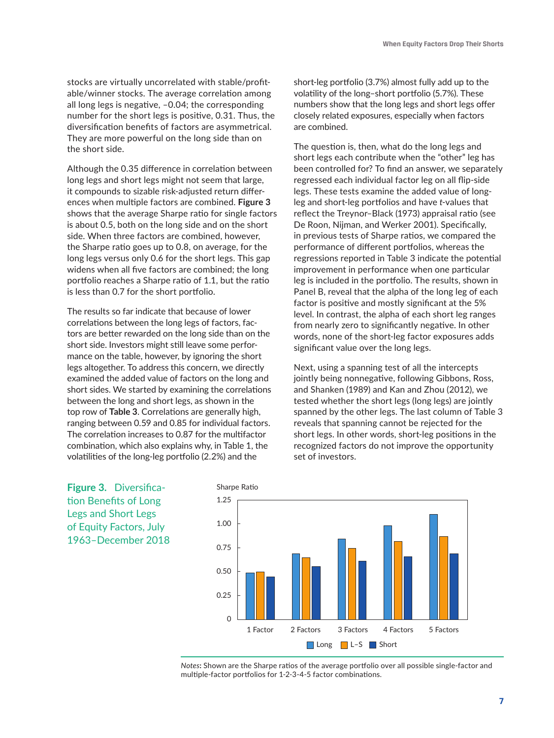stocks are virtually uncorrelated with stable/profitable/winner stocks. The average correlation among all long legs is negative, –0.04; the corresponding number for the short legs is positive, 0.31. Thus, the diversification benefits of factors are asymmetrical. They are more powerful on the long side than on the short side.

Although the 0.35 difference in correlation between long legs and short legs might not seem that large, it compounds to sizable risk-adjusted return differences when multiple factors are combined. **Figure 3** shows that the average Sharpe ratio for single factors is about 0.5, both on the long side and on the short side. When three factors are combined, however, the Sharpe ratio goes up to 0.8, on average, for the long legs versus only 0.6 for the short legs. This gap widens when all five factors are combined; the long portfolio reaches a Sharpe ratio of 1.1, but the ratio is less than 0.7 for the short portfolio.

The results so far indicate that because of lower correlations between the long legs of factors, factors are better rewarded on the long side than on the short side. Investors might still leave some performance on the table, however, by ignoring the short legs altogether. To address this concern, we directly examined the added value of factors on the long and short sides. We started by examining the correlations between the long and short legs, as shown in the top row of **Table 3**. Correlations are generally high, ranging between 0.59 and 0.85 for individual factors. The correlation increases to 0.87 for the multifactor combination, which also explains why, in Table 1, the volatilities of the long-leg portfolio (2.2%) and the

short-leg portfolio (3.7%) almost fully add up to the volatility of the long–short portfolio (5.7%). These numbers show that the long legs and short legs offer closely related exposures, especially when factors are combined.

The question is, then, what do the long legs and short legs each contribute when the "other" leg has been controlled for? To find an answer, we separately regressed each individual factor leg on all flip-side legs. These tests examine the added value of longleg and short-leg portfolios and have *t*-values that reflect the Treynor–Black (1973) appraisal ratio (see De Roon, Nijman, and Werker 2001). Specifically, in previous tests of Sharpe ratios, we compared the performance of different portfolios, whereas the regressions reported in Table 3 indicate the potential improvement in performance when one particular leg is included in the portfolio. The results, shown in Panel B, reveal that the alpha of the long leg of each factor is positive and mostly significant at the 5% level. In contrast, the alpha of each short leg ranges from nearly zero to significantly negative. In other words, none of the short-leg factor exposures adds significant value over the long legs.

Next, using a spanning test of all the intercepts jointly being nonnegative, following Gibbons, Ross, and Shanken (1989) and Kan and Zhou (2012), we tested whether the short legs (long legs) are jointly spanned by the other legs. The last column of Table 3 reveals that spanning cannot be rejected for the short legs. In other words, short-leg positions in the recognized factors do not improve the opportunity set of investors.



*Notes***:** Shown are the Sharpe ratios of the average portfolio over all possible single-factor and multiple-factor portfolios for 1-2-3-4-5 factor combinations.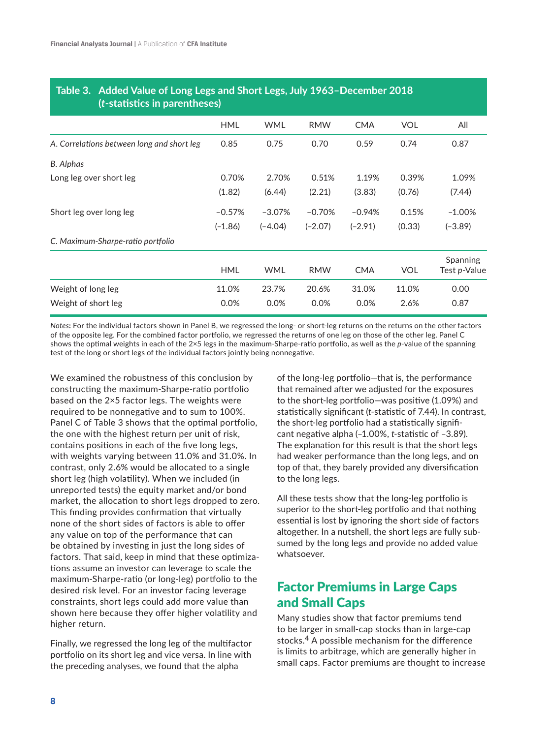| ( <i>t</i> -statistics in parentheses) |            |            |            |            |                                         |
|----------------------------------------|------------|------------|------------|------------|-----------------------------------------|
| <b>HML</b>                             | <b>WML</b> | <b>RMW</b> | <b>CMA</b> | <b>VOL</b> | All                                     |
| 0.85                                   | 0.75       | 0.70       | 0.59       | 0.74       | 0.87                                    |
|                                        |            |            |            |            |                                         |
| 0.70%                                  | 2.70%      | 0.51%      | 1.19%      | 0.39%      | 1.09%                                   |
| (1.82)                                 | (6.44)     | (2.21)     | (3.83)     | (0.76)     | (7.44)                                  |
| $-0.57%$                               | $-3.07%$   | $-0.70%$   | $-0.94%$   | 0.15%      | $-1.00\%$                               |
| $(-1.86)$                              | $(-4.04)$  | $(-2.07)$  | $(-2.91)$  | (0.33)     | $(-3.89)$                               |
|                                        |            |            |            |            |                                         |
| <b>HML</b>                             | <b>WML</b> | <b>RMW</b> | <b>CMA</b> | <b>VOL</b> | <b>Spanning</b><br>Test <i>p</i> -Value |
| 11.0%                                  | 23.7%      | 20.6%      | 31.0%      | 11.0%      | 0.00                                    |
| 0.0%                                   | 0.0%       | 0.0%       | 0.0%       | 2.6%       | 0.87                                    |
|                                        |            |            |            |            |                                         |

# **Table 3. Added Value of Long Legs and Short Legs, July 1963–December 2018**

*Notes***:** For the individual factors shown in Panel B, we regressed the long- or short-leg returns on the returns on the other factors of the opposite leg. For the combined factor portfolio, we regressed the returns of one leg on those of the other leg. Panel C shows the optimal weights in each of the 2×5 legs in the maximum-Sharpe-ratio portfolio, as well as the *p*-value of the spanning test of the long or short legs of the individual factors jointly being nonnegative.

We examined the robustness of this conclusion by constructing the maximum-Sharpe-ratio portfolio based on the 2×5 factor legs. The weights were required to be nonnegative and to sum to 100%. Panel C of Table 3 shows that the optimal portfolio, the one with the highest return per unit of risk, contains positions in each of the five long legs, with weights varying between 11.0% and 31.0%. In contrast, only 2.6% would be allocated to a single short leg (high volatility). When we included (in unreported tests) the equity market and/or bond market, the allocation to short legs dropped to zero. This finding provides confirmation that virtually none of the short sides of factors is able to offer any value on top of the performance that can be obtained by investing in just the long sides of factors. That said, keep in mind that these optimizations assume an investor can leverage to scale the maximum-Sharpe-ratio (or long-leg) portfolio to the desired risk level. For an investor facing leverage constraints, short legs could add more value than shown here because they offer higher volatility and higher return.

Finally, we regressed the long leg of the multifactor portfolio on its short leg and vice versa. In line with the preceding analyses, we found that the alpha

of the long-leg portfolio—that is, the performance that remained after we adjusted for the exposures to the short-leg portfolio—was positive (1.09%) and statistically significant (*t*-statistic of 7.44). In contrast, the short-leg portfolio had a statistically significant negative alpha (–1.00%, *t*-statistic of –3.89). The explanation for this result is that the short legs had weaker performance than the long legs, and on top of that, they barely provided any diversification to the long legs.

All these tests show that the long-leg portfolio is superior to the short-leg portfolio and that nothing essential is lost by ignoring the short side of factors altogether. In a nutshell, the short legs are fully subsumed by the long legs and provide no added value whatsoever.

## Factor Premiums in Large Caps and Small Caps

Many studies show that factor premiums tend to be larger in small-cap stocks than in large-cap stocks.<sup>4</sup> A possible mechanism for the difference is limits to arbitrage, which are generally higher in small caps. Factor premiums are thought to increase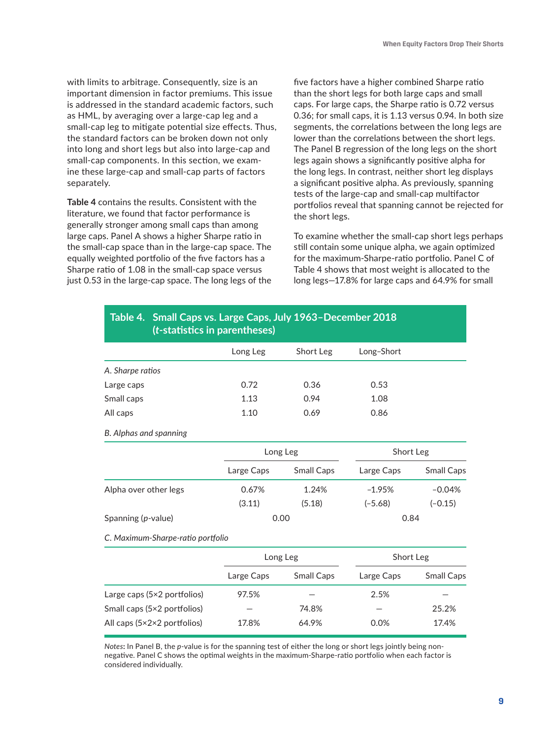with limits to arbitrage. Consequently, size is an important dimension in factor premiums. This issue is addressed in the standard academic factors, such as HML, by averaging over a large-cap leg and a small-cap leg to mitigate potential size effects. Thus, the standard factors can be broken down not only into long and short legs but also into large-cap and small-cap components. In this section, we examine these large-cap and small-cap parts of factors separately.

**Table 4** contains the results. Consistent with the literature, we found that factor performance is generally stronger among small caps than among large caps. Panel A shows a higher Sharpe ratio in the small-cap space than in the large-cap space. The equally weighted portfolio of the five factors has a Sharpe ratio of 1.08 in the small-cap space versus just 0.53 in the large-cap space. The long legs of the five factors have a higher combined Sharpe ratio than the short legs for both large caps and small caps. For large caps, the Sharpe ratio is 0.72 versus 0.36; for small caps, it is 1.13 versus 0.94. In both size segments, the correlations between the long legs are lower than the correlations between the short legs. The Panel B regression of the long legs on the short legs again shows a significantly positive alpha for the long legs. In contrast, neither short leg displays a significant positive alpha. As previously, spanning tests of the large-cap and small-cap multifactor portfolios reveal that spanning cannot be rejected for the short legs.

To examine whether the small-cap short legs perhaps still contain some unique alpha, we again optimized for the maximum-Sharpe-ratio portfolio. Panel C of Table 4 shows that most weight is allocated to the long legs—17.8% for large caps and 64.9% for small

| Table 4. Small Caps vs. Large Caps, July 1963-December 2018<br>( <i>t</i> -statistics in parentheses) |            |                   |            |                   |  |  |  |
|-------------------------------------------------------------------------------------------------------|------------|-------------------|------------|-------------------|--|--|--|
|                                                                                                       | Long Leg   | Short Leg         | Long-Short |                   |  |  |  |
| A. Sharpe ratios                                                                                      |            |                   |            |                   |  |  |  |
| Large caps                                                                                            | 0.72       | 0.36              | 0.53       |                   |  |  |  |
| Small caps                                                                                            | 1.13       | 0.94              | 1.08       |                   |  |  |  |
| All caps                                                                                              | 1.10       | 0.69              | 0.86       |                   |  |  |  |
| B. Alphas and spanning                                                                                |            |                   |            |                   |  |  |  |
|                                                                                                       |            | Long Leg          |            | Short Leg         |  |  |  |
|                                                                                                       | Large Caps | Small Caps        | Large Caps | <b>Small Caps</b> |  |  |  |
| Alpha over other legs                                                                                 | 0.67%      | 1.24%             | $-1.95%$   | $-0.04%$          |  |  |  |
|                                                                                                       | (3.11)     | (5.18)            | $(-5.68)$  | $(-0.15)$         |  |  |  |
| Spanning (p-value)                                                                                    | 0.00       |                   | 0.84       |                   |  |  |  |
| C. Maximum-Sharpe-ratio portfolio                                                                     |            |                   |            |                   |  |  |  |
|                                                                                                       |            | Long Leg          | Short Leg  |                   |  |  |  |
|                                                                                                       | Large Caps | <b>Small Caps</b> | Large Caps | <b>Small Caps</b> |  |  |  |

*Notes***:** In Panel B, the *p*-value is for the spanning test of either the long or short legs jointly being nonnegative. Panel C shows the optimal weights in the maximum-Sharpe-ratio portfolio when each factor is considered individually.

Small caps (5×2 portfolios) — 74.8% — 25.2% All caps (5×2×2 portfolios) 17.8% 64.9% 0.0% 17.4%

Large caps  $(5×2$  portfolios)  $97.5%$  - 2.5%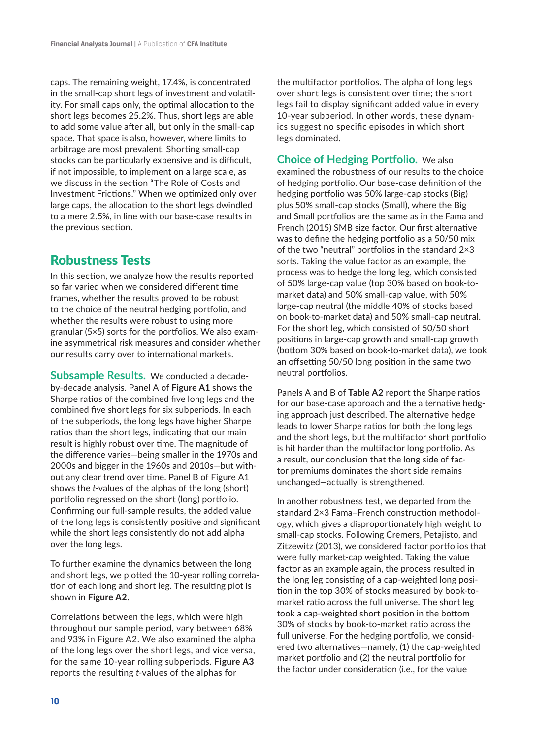caps. The remaining weight, 17.4%, is concentrated in the small-cap short legs of investment and volatility. For small caps only, the optimal allocation to the short legs becomes 25.2%. Thus, short legs are able to add some value after all, but only in the small-cap space. That space is also, however, where limits to arbitrage are most prevalent. Shorting small-cap stocks can be particularly expensive and is difficult, if not impossible, to implement on a large scale, as we discuss in the section "The Role of Costs and Investment Frictions." When we optimized only over large caps, the allocation to the short legs dwindled to a mere 2.5%, in line with our base-case results in the previous section.

## Robustness Tests

In this section, we analyze how the results reported so far varied when we considered different time frames, whether the results proved to be robust to the choice of the neutral hedging portfolio, and whether the results were robust to using more granular (5×5) sorts for the portfolios. We also examine asymmetrical risk measures and consider whether our results carry over to international markets.

**Subsample Results.** We conducted a decadeby-decade analysis. Panel A of **Figure A1** shows the Sharpe ratios of the combined five long legs and the combined five short legs for six subperiods. In each of the subperiods, the long legs have higher Sharpe ratios than the short legs, indicating that our main result is highly robust over time. The magnitude of the difference varies—being smaller in the 1970s and 2000s and bigger in the 1960s and 2010s—but without any clear trend over time. Panel B of Figure A1 shows the *t*-values of the alphas of the long (short) portfolio regressed on the short (long) portfolio. Confirming our full-sample results, the added value of the long legs is consistently positive and significant while the short legs consistently do not add alpha over the long legs.

To further examine the dynamics between the long and short legs, we plotted the 10-year rolling correlation of each long and short leg. The resulting plot is shown in **Figure A2**.

Correlations between the legs, which were high throughout our sample period, vary between 68% and 93% in Figure A2. We also examined the alpha of the long legs over the short legs, and vice versa, for the same 10-year rolling subperiods. **Figure A3** reports the resulting *t*-values of the alphas for

the multifactor portfolios. The alpha of long legs over short legs is consistent over time; the short legs fail to display significant added value in every 10-year subperiod. In other words, these dynamics suggest no specific episodes in which short legs dominated.

**Choice of Hedging Portfolio.** We also examined the robustness of our results to the choice of hedging portfolio. Our base-case definition of the hedging portfolio was 50% large-cap stocks (Big) plus 50% small-cap stocks (Small), where the Big and Small portfolios are the same as in the Fama and French (2015) SMB size factor. Our first alternative was to define the hedging portfolio as a 50/50 mix of the two "neutral" portfolios in the standard 2×3 sorts. Taking the value factor as an example, the process was to hedge the long leg, which consisted of 50% large-cap value (top 30% based on book-tomarket data) and 50% small-cap value, with 50% large-cap neutral (the middle 40% of stocks based on book-to-market data) and 50% small-cap neutral. For the short leg, which consisted of 50/50 short positions in large-cap growth and small-cap growth (bottom 30% based on book-to-market data), we took an offsetting 50/50 long position in the same two neutral portfolios.

Panels A and B of **Table A2** report the Sharpe ratios for our base-case approach and the alternative hedging approach just described. The alternative hedge leads to lower Sharpe ratios for both the long legs and the short legs, but the multifactor short portfolio is hit harder than the multifactor long portfolio. As a result, our conclusion that the long side of factor premiums dominates the short side remains unchanged—actually, is strengthened.

In another robustness test, we departed from the standard 2×3 Fama–French construction methodology, which gives a disproportionately high weight to small-cap stocks. Following Cremers, Petajisto, and Zitzewitz (2013), we considered factor portfolios that were fully market-cap weighted. Taking the value factor as an example again, the process resulted in the long leg consisting of a cap-weighted long position in the top 30% of stocks measured by book-tomarket ratio across the full universe. The short leg took a cap-weighted short position in the bottom 30% of stocks by book-to-market ratio across the full universe. For the hedging portfolio, we considered two alternatives—namely, (1) the cap-weighted market portfolio and (2) the neutral portfolio for the factor under consideration (i.e., for the value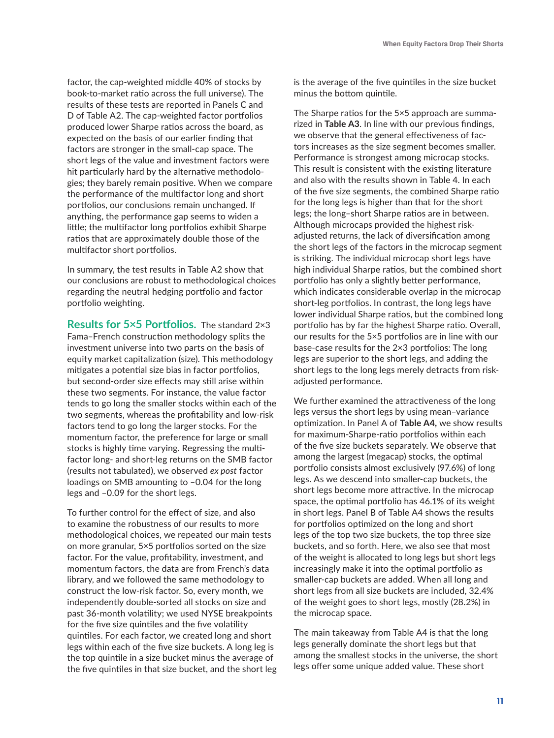factor, the cap-weighted middle 40% of stocks by book-to-market ratio across the full universe). The results of these tests are reported in Panels C and D of Table A2. The cap-weighted factor portfolios produced lower Sharpe ratios across the board, as expected on the basis of our earlier finding that factors are stronger in the small-cap space. The short legs of the value and investment factors were hit particularly hard by the alternative methodologies; they barely remain positive. When we compare the performance of the multifactor long and short portfolios, our conclusions remain unchanged. If anything, the performance gap seems to widen a little; the multifactor long portfolios exhibit Sharpe ratios that are approximately double those of the multifactor short portfolios.

In summary, the test results in Table A2 show that our conclusions are robust to methodological choices regarding the neutral hedging portfolio and factor portfolio weighting.

**Results for 5×5 Portfolios.** The standard 2×3 Fama–French construction methodology splits the investment universe into two parts on the basis of equity market capitalization (size). This methodology mitigates a potential size bias in factor portfolios, but second-order size effects may still arise within these two segments. For instance, the value factor tends to go long the smaller stocks within each of the two segments, whereas the profitability and low-risk factors tend to go long the larger stocks. For the momentum factor, the preference for large or small stocks is highly time varying. Regressing the multifactor long- and short-leg returns on the SMB factor (results not tabulated), we observed *ex post* factor loadings on SMB amounting to –0.04 for the long legs and –0.09 for the short legs.

To further control for the effect of size, and also to examine the robustness of our results to more methodological choices, we repeated our main tests on more granular, 5×5 portfolios sorted on the size factor. For the value, profitability, investment, and momentum factors, the data are from French's data library, and we followed the same methodology to construct the low-risk factor. So, every month, we independently double-sorted all stocks on size and past 36-month volatility; we used NYSE breakpoints for the five size quintiles and the five volatility quintiles. For each factor, we created long and short legs within each of the five size buckets. A long leg is the top quintile in a size bucket minus the average of the five quintiles in that size bucket, and the short leg is the average of the five quintiles in the size bucket minus the bottom quintile.

The Sharpe ratios for the 5×5 approach are summarized in **Table A3**. In line with our previous findings, we observe that the general effectiveness of factors increases as the size segment becomes smaller. Performance is strongest among microcap stocks. This result is consistent with the existing literature and also with the results shown in Table 4. In each of the five size segments, the combined Sharpe ratio for the long legs is higher than that for the short legs; the long–short Sharpe ratios are in between. Although microcaps provided the highest riskadjusted returns, the lack of diversification among the short legs of the factors in the microcap segment is striking. The individual microcap short legs have high individual Sharpe ratios, but the combined short portfolio has only a slightly better performance, which indicates considerable overlap in the microcap short-leg portfolios. In contrast, the long legs have lower individual Sharpe ratios, but the combined long portfolio has by far the highest Sharpe ratio. Overall, our results for the 5×5 portfolios are in line with our base-case results for the 2×3 portfolios: The long legs are superior to the short legs, and adding the short legs to the long legs merely detracts from riskadjusted performance.

We further examined the attractiveness of the long legs versus the short legs by using mean–variance optimization. In Panel A of **Table A4,** we show results for maximum-Sharpe-ratio portfolios within each of the five size buckets separately. We observe that among the largest (megacap) stocks, the optimal portfolio consists almost exclusively (97.6%) of long legs. As we descend into smaller-cap buckets, the short legs become more attractive. In the microcap space, the optimal portfolio has 46.1% of its weight in short legs. Panel B of Table A4 shows the results for portfolios optimized on the long and short legs of the top two size buckets, the top three size buckets, and so forth. Here, we also see that most of the weight is allocated to long legs but short legs increasingly make it into the optimal portfolio as smaller-cap buckets are added. When all long and short legs from all size buckets are included, 32.4% of the weight goes to short legs, mostly (28.2%) in the microcap space.

The main takeaway from Table A4 is that the long legs generally dominate the short legs but that among the smallest stocks in the universe, the short legs offer some unique added value. These short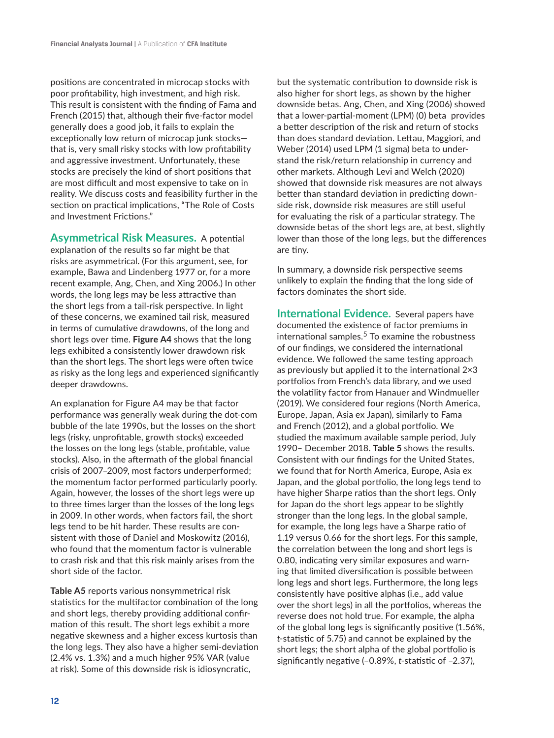positions are concentrated in microcap stocks with poor profitability, high investment, and high risk. This result is consistent with the finding of Fama and French (2015) that, although their five-factor model generally does a good job, it fails to explain the exceptionally low return of microcap junk stocks that is, very small risky stocks with low profitability and aggressive investment. Unfortunately, these stocks are precisely the kind of short positions that are most difficult and most expensive to take on in reality. We discuss costs and feasibility further in the section on practical implications, "The Role of Costs and Investment Frictions."

**Asymmetrical Risk Measures.** A potential explanation of the results so far might be that risks are asymmetrical. (For this argument, see, for example, Bawa and Lindenberg 1977 or, for a more recent example, Ang, Chen, and Xing 2006.) In other words, the long legs may be less attractive than the short legs from a tail-risk perspective. In light of these concerns, we examined tail risk, measured in terms of cumulative drawdowns, of the long and short legs over time. **Figure A4** shows that the long legs exhibited a consistently lower drawdown risk than the short legs. The short legs were often twice as risky as the long legs and experienced significantly deeper drawdowns.

An explanation for Figure A4 may be that factor performance was generally weak during the dot-com bubble of the late 1990s, but the losses on the short legs (risky, unprofitable, growth stocks) exceeded the losses on the long legs (stable, profitable, value stocks). Also, in the aftermath of the global financial crisis of 2007–2009, most factors underperformed; the momentum factor performed particularly poorly. Again, however, the losses of the short legs were up to three times larger than the losses of the long legs in 2009. In other words, when factors fail, the short legs tend to be hit harder. These results are consistent with those of Daniel and Moskowitz (2016), who found that the momentum factor is vulnerable to crash risk and that this risk mainly arises from the short side of the factor.

**Table A5** reports various nonsymmetrical risk statistics for the multifactor combination of the long and short legs, thereby providing additional confirmation of this result. The short legs exhibit a more negative skewness and a higher excess kurtosis than the long legs. They also have a higher semi-deviation (2.4% vs. 1.3%) and a much higher 95% VAR (value at risk). Some of this downside risk is idiosyncratic,

but the systematic contribution to downside risk is also higher for short legs, as shown by the higher downside betas. Ang, Chen, and Xing (2006) showed that a lower-partial-moment (LPM) (0) beta provides a better description of the risk and return of stocks than does standard deviation. Lettau, Maggiori, and Weber (2014) used LPM (1 sigma) beta to understand the risk/return relationship in currency and other markets. Although Levi and Welch (2020) showed that downside risk measures are not always better than standard deviation in predicting downside risk, downside risk measures are still useful for evaluating the risk of a particular strategy. The downside betas of the short legs are, at best, slightly lower than those of the long legs, but the differences are tiny.

In summary, a downside risk perspective seems unlikely to explain the finding that the long side of factors dominates the short side.

**International Evidence.** Several papers have documented the existence of factor premiums in international samples.<sup>5</sup> To examine the robustness of our findings, we considered the international evidence. We followed the same testing approach as previously but applied it to the international 2×3 portfolios from French's data library, and we used the volatility factor from Hanauer and Windmueller (2019). We considered four regions (North America, Europe, Japan, Asia ex Japan), similarly to Fama and French (2012), and a global portfolio. We studied the maximum available sample period, July 1990– December 2018. **Table 5** shows the results. Consistent with our findings for the United States, we found that for North America, Europe, Asia ex Japan, and the global portfolio, the long legs tend to have higher Sharpe ratios than the short legs. Only for Japan do the short legs appear to be slightly stronger than the long legs. In the global sample, for example, the long legs have a Sharpe ratio of 1.19 versus 0.66 for the short legs. For this sample, the correlation between the long and short legs is 0.80, indicating very similar exposures and warning that limited diversification is possible between long legs and short legs. Furthermore, the long legs consistently have positive alphas (i.e., add value over the short legs) in all the portfolios, whereas the reverse does not hold true. For example, the alpha of the global long legs is significantly positive (1.56%, *t*-statistic of 5.75) and cannot be explained by the short legs; the short alpha of the global portfolio is significantly negative (–0.89%, *t*-statistic of –2.37),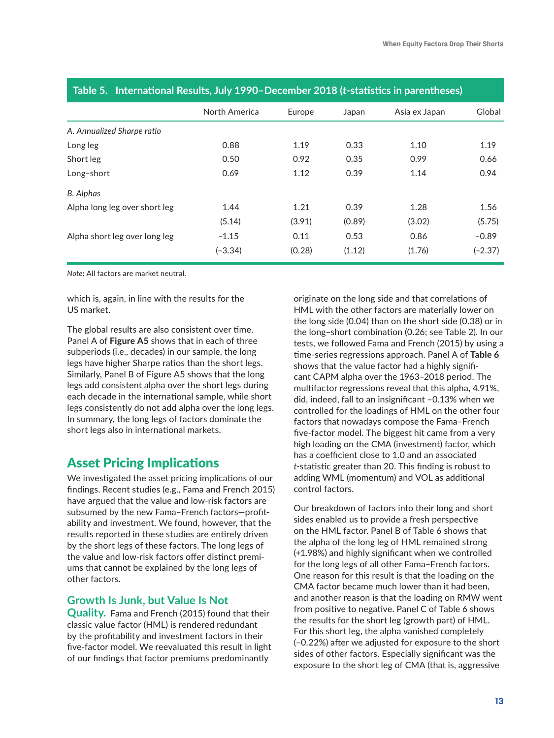|                               | North America | Europe | Japan  | Asia ex Japan | Global    |
|-------------------------------|---------------|--------|--------|---------------|-----------|
| A. Annualized Sharpe ratio    |               |        |        |               |           |
| Long leg                      | 0.88          | 1.19   | 0.33   | 1.10          | 1.19      |
| Short leg                     | 0.50          | 0.92   | 0.35   | 0.99          | 0.66      |
| Long-short                    | 0.69          | 1.12   | 0.39   | 1.14          | 0.94      |
| <b>B.</b> Alphas              |               |        |        |               |           |
| Alpha long leg over short leg | 1.44          | 1.21   | 0.39   | 1.28          | 1.56      |
|                               | (5.14)        | (3.91) | (0.89) | (3.02)        | (5.75)    |
| Alpha short leg over long leg | $-1.15$       | 0.11   | 0.53   | 0.86          | $-0.89$   |
|                               | $(-3.34)$     | (0.28) | (1.12) | (1.76)        | $(-2.37)$ |

#### **Table 5. International Results, July 1990–December 2018 (***t***-statistics in parentheses)**

*Note***:** All factors are market neutral.

which is, again, in line with the results for the US market.

The global results are also consistent over time. Panel A of **Figure A5** shows that in each of three subperiods (i.e., decades) in our sample, the long legs have higher Sharpe ratios than the short legs. Similarly, Panel B of Figure A5 shows that the long legs add consistent alpha over the short legs during each decade in the international sample, while short legs consistently do not add alpha over the long legs. In summary, the long legs of factors dominate the short legs also in international markets.

## Asset Pricing Implications

We investigated the asset pricing implications of our findings. Recent studies (e.g., Fama and French 2015) have argued that the value and low-risk factors are subsumed by the new Fama–French factors—profitability and investment. We found, however, that the results reported in these studies are entirely driven by the short legs of these factors. The long legs of the value and low-risk factors offer distinct premiums that cannot be explained by the long legs of other factors.

#### **Growth Is Junk, but Value Is Not**

**Quality.** Fama and French (2015) found that their classic value factor (HML) is rendered redundant by the profitability and investment factors in their five-factor model. We reevaluated this result in light of our findings that factor premiums predominantly

originate on the long side and that correlations of HML with the other factors are materially lower on the long side (0.04) than on the short side (0.38) or in the long–short combination (0.26; see Table 2). In our tests, we followed Fama and French (2015) by using a time-series regressions approach. Panel A of **Table 6** shows that the value factor had a highly significant CAPM alpha over the 1963–2018 period. The multifactor regressions reveal that this alpha, 4.91%, did, indeed, fall to an insignificant –0.13% when we controlled for the loadings of HML on the other four factors that nowadays compose the Fama–French five-factor model. The biggest hit came from a very high loading on the CMA (investment) factor, which has a coefficient close to 1.0 and an associated *t*-statistic greater than 20. This finding is robust to adding WML (momentum) and VOL as additional control factors.

Our breakdown of factors into their long and short sides enabled us to provide a fresh perspective on the HML factor. Panel B of Table 6 shows that the alpha of the long leg of HML remained strong (+1.98%) and highly significant when we controlled for the long legs of all other Fama–French factors. One reason for this result is that the loading on the CMA factor became much lower than it had been, and another reason is that the loading on RMW went from positive to negative. Panel C of Table 6 shows the results for the short leg (growth part) of HML. For this short leg, the alpha vanished completely (–0.22%) after we adjusted for exposure to the short sides of other factors. Especially significant was the exposure to the short leg of CMA (that is, aggressive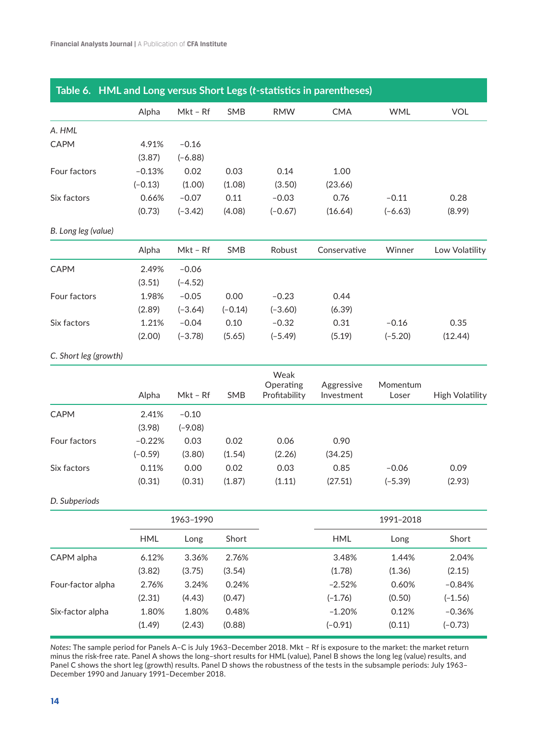| Table 6. HML and Long versus Short Legs (t-statistics in parentheses) |            |            |           |                            |                          |                   |                        |
|-----------------------------------------------------------------------|------------|------------|-----------|----------------------------|--------------------------|-------------------|------------------------|
|                                                                       | Alpha      | $Mkt - Rf$ | SMB       | <b>RMW</b>                 | <b>CMA</b>               | <b>WML</b>        | <b>VOL</b>             |
| A. HML                                                                |            |            |           |                            |                          |                   |                        |
| CAPM                                                                  | 4.91%      | $-0.16$    |           |                            |                          |                   |                        |
|                                                                       | (3.87)     | $(-6.88)$  |           |                            |                          |                   |                        |
| Four factors                                                          | $-0.13%$   | 0.02       | 0.03      | 0.14                       | 1.00                     |                   |                        |
|                                                                       | $(-0.13)$  | (1.00)     | (1.08)    | (3.50)                     | (23.66)                  |                   |                        |
| Six factors                                                           | 0.66%      | $-0.07$    | 0.11      | $-0.03$                    | 0.76                     | $-0.11$           | 0.28                   |
|                                                                       | (0.73)     | $(-3.42)$  | (4.08)    | $(-0.67)$                  | (16.64)                  | $(-6.63)$         | (8.99)                 |
| B. Long leg (value)                                                   |            |            |           |                            |                          |                   |                        |
|                                                                       | Alpha      | Mkt - Rf   | SMB       | Robust                     | Conservative             | Winner            | Low Volatility         |
| <b>CAPM</b>                                                           | 2.49%      | $-0.06$    |           |                            |                          |                   |                        |
|                                                                       | (3.51)     | $(-4.52)$  |           |                            |                          |                   |                        |
| Four factors                                                          | 1.98%      | $-0.05$    | 0.00      | $-0.23$                    | 0.44                     |                   |                        |
|                                                                       | (2.89)     | $(-3.64)$  | $(-0.14)$ | $(-3.60)$                  | (6.39)                   |                   |                        |
| Six factors                                                           | 1.21%      | $-0.04$    | 0.10      | $-0.32$                    | 0.31                     | $-0.16$           | 0.35                   |
|                                                                       | (2.00)     | $(-3.78)$  | (5.65)    | $(-5.49)$                  | (5.19)                   | $(-5.20)$         | (12.44)                |
| C. Short leg (growth)                                                 |            |            |           |                            |                          |                   |                        |
|                                                                       |            |            |           | Weak                       |                          |                   |                        |
|                                                                       | Alpha      | Mkt - Rf   | SMB       | Operating<br>Profitability | Aggressive<br>Investment | Momentum<br>Loser | <b>High Volatility</b> |
| CAPM                                                                  | 2.41%      | $-0.10$    |           |                            |                          |                   |                        |
|                                                                       | (3.98)     | $(-9.08)$  |           |                            |                          |                   |                        |
| Four factors                                                          | $-0.22%$   | 0.03       | 0.02      | 0.06                       | 0.90                     |                   |                        |
|                                                                       | $(-0.59)$  | (3.80)     | (1.54)    | (2.26)                     | (34.25)                  |                   |                        |
| Six factors                                                           | 0.11%      | 0.00       | 0.02      | 0.03                       | 0.85                     | $-0.06$           | 0.09                   |
|                                                                       | (0.31)     | (0.31)     | (1.87)    | (1.11)                     | (27.51)                  | $(-5.39)$         | (2.93)                 |
| D. Subperiods                                                         |            |            |           |                            |                          |                   |                        |
|                                                                       |            | 1963-1990  |           |                            |                          | 1991-2018         |                        |
|                                                                       | <b>HML</b> | Long       | Short     |                            | <b>HML</b>               | Long              | Short                  |
| CAPM alpha                                                            | 6.12%      | 3.36%      | 2.76%     |                            | 3.48%                    | 1.44%             | 2.04%                  |
|                                                                       | (3.82)     | (3.75)     | (3.54)    |                            | (1.78)                   | (1.36)            | (2.15)                 |
| Four-factor alpha                                                     | 2.76%      | 3.24%      | 0.24%     |                            | $-2.52%$                 | 0.60%             | $-0.84%$               |
|                                                                       | (2.31)     | (4.43)     | (0.47)    |                            | $(-1.76)$                | (0.50)            | $(-1.56)$              |
| Six-factor alpha                                                      | 1.80%      | 1.80%      | 0.48%     |                            | $-1.20%$                 | 0.12%             | $-0.36%$               |
|                                                                       | (1.49)     | (2.43)     | (0.88)    |                            | $(-0.91)$                | (0.11)            | $(-0.73)$              |

*Notes***:** The sample period for Panels A–C is July 1963–December 2018. Mkt – Rf is exposure to the market: the market return minus the risk-free rate. Panel A shows the long–short results for HML (value), Panel B shows the long leg (value) results, and Panel C shows the short leg (growth) results. Panel D shows the robustness of the tests in the subsample periods: July 1963– December 1990 and January 1991–December 2018.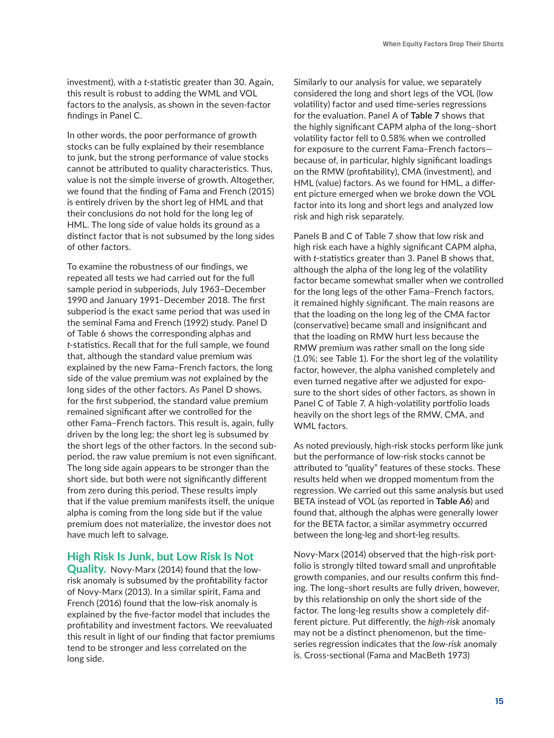investment), with a *t*-statistic greater than 30. Again, this result is robust to adding the WML and VOL factors to the analysis, as shown in the seven-factor findings in Panel C.

In other words, the poor performance of growth stocks can be fully explained by their resemblance to junk, but the strong performance of value stocks cannot be attributed to quality characteristics. Thus, value is not the simple inverse of growth. Altogether, we found that the finding of Fama and French (2015) is entirely driven by the short leg of HML and that their conclusions do not hold for the long leg of HML. The long side of value holds its ground as a distinct factor that is not subsumed by the long sides of other factors.

To examine the robustness of our findings, we repeated all tests we had carried out for the full sample period in subperiods, July 1963–December 1990 and January 1991–December 2018. The first subperiod is the exact same period that was used in the seminal Fama and French (1992) study. Panel D of Table 6 shows the corresponding alphas and *t*-statistics. Recall that for the full sample, we found that, although the standard value premium was explained by the new Fama–French factors, the long side of the value premium was *not* explained by the long sides of the other factors. As Panel D shows, for the first subperiod, the standard value premium remained significant after we controlled for the other Fama–French factors. This result is, again, fully driven by the long leg; the short leg is subsumed by the short legs of the other factors. In the second subperiod, the raw value premium is not even significant. The long side again appears to be stronger than the short side, but both were not significantly different from zero during this period. These results imply that if the value premium manifests itself, the unique alpha is coming from the long side but if the value premium does not materialize, the investor does not have much left to salvage.

#### **High Risk Is Junk, but Low Risk Is Not**

**Quality.** Novy-Marx (2014) found that the lowrisk anomaly is subsumed by the profitability factor of Novy-Marx (2013). In a similar spirit, Fama and French (2016) found that the low-risk anomaly is explained by the five-factor model that includes the profitability and investment factors. We reevaluated this result in light of our finding that factor premiums tend to be stronger and less correlated on the long side.

Similarly to our analysis for value, we separately considered the long and short legs of the VOL (low volatility) factor and used time-series regressions for the evaluation. Panel A of **Table 7** shows that the highly significant CAPM alpha of the long–short volatility factor fell to 0.58% when we controlled for exposure to the current Fama–French factors because of, in particular, highly significant loadings on the RMW (profitability), CMA (investment), and HML (value) factors. As we found for HML, a different picture emerged when we broke down the VOL factor into its long and short legs and analyzed low risk and high risk separately.

Panels B and C of Table 7 show that low risk and high risk each have a highly significant CAPM alpha, with *t*-statistics greater than 3. Panel B shows that, although the alpha of the long leg of the volatility factor became somewhat smaller when we controlled for the long legs of the other Fama–French factors, it remained highly significant. The main reasons are that the loading on the long leg of the CMA factor (conservative) became small and insignificant and that the loading on RMW hurt less because the RMW premium was rather small on the long side (1.0%; see Table 1). For the short leg of the volatility factor, however, the alpha vanished completely and even turned negative after we adjusted for exposure to the short sides of other factors, as shown in Panel C of Table 7. A high-volatility portfolio loads heavily on the short legs of the RMW, CMA, and WML factors.

As noted previously, high-risk stocks perform like junk but the performance of low-risk stocks cannot be attributed to "quality" features of these stocks. These results held when we dropped momentum from the regression. We carried out this same analysis but used BETA instead of VOL (as reported in **Table A6**) and found that, although the alphas were generally lower for the BETA factor, a similar asymmetry occurred between the long-leg and short-leg results.

Novy-Marx (2014) observed that the high-risk portfolio is strongly tilted toward small and unprofitable growth companies, and our results confirm this finding. The long–short results are fully driven, however, by this relationship on only the short side of the factor. The long-leg results show a completely different picture. Put differently, the *high-risk* anomaly may not be a distinct phenomenon, but the timeseries regression indicates that the *low-risk* anomaly is. Cross-sectional (Fama and MacBeth 1973)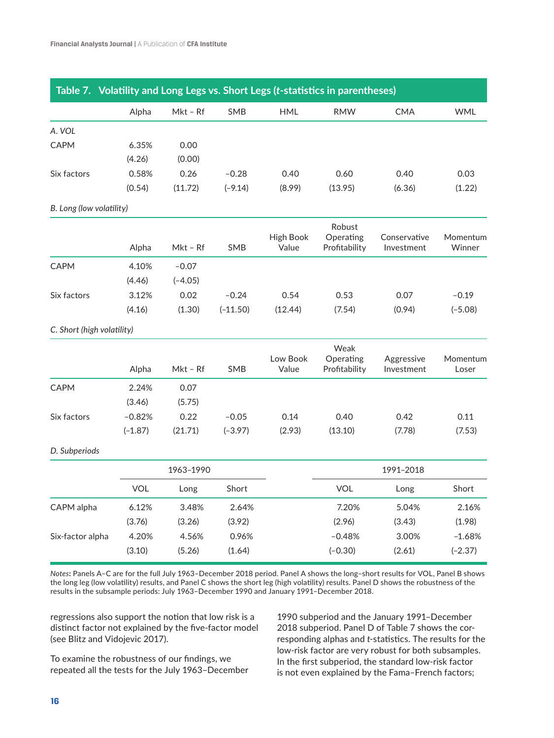|                            | Alpha      | Mkt - Rf  | SMB        | <b>HML</b>                | <b>RMW</b>                 | <b>CMA</b>                 | <b>WML</b>         |
|----------------------------|------------|-----------|------------|---------------------------|----------------------------|----------------------------|--------------------|
|                            |            |           |            |                           |                            |                            |                    |
| A. VOL                     |            |           |            |                           |                            |                            |                    |
| <b>CAPM</b>                | 6.35%      | 0.00      |            |                           |                            |                            |                    |
|                            | (4.26)     | (0.00)    |            |                           |                            |                            |                    |
| Six factors                | 0.58%      | 0.26      | $-0.28$    | 0.40                      | 0.60                       | 0.40                       | 0.03               |
|                            | (0.54)     | (11.72)   | $(-9.14)$  | (8.99)                    | (13.95)                    | (6.36)                     | (1.22)             |
| B. Long (low volatility)   |            |           |            |                           |                            |                            |                    |
|                            |            |           |            |                           | Robust                     |                            |                    |
|                            | Alpha      | Mkt – Rf  | SMB        | <b>High Book</b><br>Value | Operating<br>Profitability | Conservative<br>Investment | Momentum<br>Winner |
| <b>CAPM</b>                | 4.10%      | $-0.07$   |            |                           |                            |                            |                    |
|                            | (4.46)     | $(-4.05)$ |            |                           |                            |                            |                    |
| Six factors                | 3.12%      | 0.02      | $-0.24$    | 0.54                      | 0.53                       | 0.07                       | $-0.19$            |
|                            | (4.16)     | (1.30)    | $(-11.50)$ | (12.44)                   | (7.54)                     | (0.94)                     | $(-5.08)$          |
| C. Short (high volatility) |            |           |            |                           |                            |                            |                    |
|                            |            |           |            |                           | Weak                       |                            |                    |
|                            | Alpha      | Mkt - Rf  | SMB        | Low Book<br>Value         | Operating<br>Profitability | Aggressive<br>Investment   | Momentum<br>Loser  |
| <b>CAPM</b>                | 2.24%      | 0.07      |            |                           |                            |                            |                    |
|                            | (3.46)     | (5.75)    |            |                           |                            |                            |                    |
| Six factors                | $-0.82%$   | 0.22      | $-0.05$    | 0.14                      | 0.40                       | 0.42                       | 0.11               |
|                            | $(-1.87)$  | (21.71)   | $(-3.97)$  | (2.93)                    | (13.10)                    | (7.78)                     | (7.53)             |
| D. Subperiods              |            |           |            |                           |                            |                            |                    |
|                            |            | 1963-1990 |            |                           |                            | 1991-2018                  |                    |
|                            | <b>VOL</b> | Long      | Short      |                           | <b>VOL</b>                 | Long                       | Short              |
| CAPM alpha                 | 6.12%      | 3.48%     | 2.64%      |                           | 7.20%                      | 5.04%                      | 2.16%              |
|                            | (3.76)     | (3.26)    | (3.92)     |                           | (2.96)                     | (3.43)                     | (1.98)             |
| Six-factor alpha           | 4.20%      | 4.56%     | 0.96%      |                           | $-0.48%$                   | 3.00%                      | $-1.68%$           |
|                            | (3.10)     | (5.26)    | (1.64)     |                           | $(-0.30)$                  | (2.61)                     | $(-2.37)$          |

*Notes***:** Panels A–C are for the full July 1963–December 2018 period. Panel A shows the long–short results for VOL, Panel B shows the long leg (low volatility) results, and Panel C shows the short leg (high volatility) results. Panel D shows the robustness of the results in the subsample periods: July 1963–December 1990 and January 1991–December 2018.

regressions also support the notion that low risk is a distinct factor not explained by the five-factor model (see Blitz and Vidojevic 2017).

1990 subperiod and the January 1991–December 2018 subperiod. Panel D of Table 7 shows the corresponding alphas and *t*-statistics. The results for the low-risk factor are very robust for both subsamples. In the first subperiod, the standard low-risk factor is not even explained by the Fama–French factors;

To examine the robustness of our findings, we repeated all the tests for the July 1963–December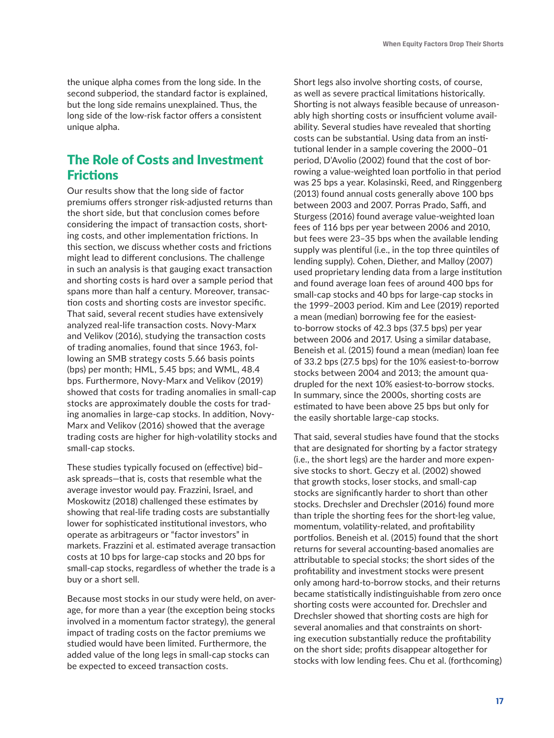the unique alpha comes from the long side. In the second subperiod, the standard factor is explained, but the long side remains unexplained. Thus, the long side of the low-risk factor offers a consistent unique alpha.

## The Role of Costs and Investment Frictions

Our results show that the long side of factor premiums offers stronger risk-adjusted returns than the short side, but that conclusion comes before considering the impact of transaction costs, shorting costs, and other implementation frictions. In this section, we discuss whether costs and frictions might lead to different conclusions. The challenge in such an analysis is that gauging exact transaction and shorting costs is hard over a sample period that spans more than half a century. Moreover, transaction costs and shorting costs are investor specific. That said, several recent studies have extensively analyzed real-life transaction costs. Novy-Marx and Velikov (2016), studying the transaction costs of trading anomalies, found that since 1963, following an SMB strategy costs 5.66 basis points (bps) per month; HML, 5.45 bps; and WML, 48.4 bps. Furthermore, Novy-Marx and Velikov (2019) showed that costs for trading anomalies in small-cap stocks are approximately double the costs for trading anomalies in large-cap stocks. In addition, Novy-Marx and Velikov (2016) showed that the average trading costs are higher for high-volatility stocks and small-cap stocks.

These studies typically focused on (effective) bid– ask spreads—that is, costs that resemble what the average investor would pay. Frazzini, Israel, and Moskowitz (2018) challenged these estimates by showing that real-life trading costs are substantially lower for sophisticated institutional investors, who operate as arbitrageurs or "factor investors" in markets. Frazzini et al. estimated average transaction costs at 10 bps for large-cap stocks and 20 bps for small-cap stocks, regardless of whether the trade is a buy or a short sell.

Because most stocks in our study were held, on average, for more than a year (the exception being stocks involved in a momentum factor strategy), the general impact of trading costs on the factor premiums we studied would have been limited. Furthermore, the added value of the long legs in small-cap stocks can be expected to exceed transaction costs.

Short legs also involve shorting costs, of course, as well as severe practical limitations historically. Shorting is not always feasible because of unreasonably high shorting costs or insufficient volume availability. Several studies have revealed that shorting costs can be substantial. Using data from an institutional lender in a sample covering the 2000–01 period, D'Avolio (2002) found that the cost of borrowing a value-weighted loan portfolio in that period was 25 bps a year. Kolasinski, Reed, and Ringgenberg (2013) found annual costs generally above 100 bps between 2003 and 2007. Porras Prado, Saffi, and Sturgess (2016) found average value-weighted loan fees of 116 bps per year between 2006 and 2010, but fees were 23–35 bps when the available lending supply was plentiful (i.e., in the top three quintiles of lending supply). Cohen, Diether, and Malloy (2007) used proprietary lending data from a large institution and found average loan fees of around 400 bps for small-cap stocks and 40 bps for large-cap stocks in the 1999–2003 period. Kim and Lee (2019) reported a mean (median) borrowing fee for the easiestto-borrow stocks of 42.3 bps (37.5 bps) per year between 2006 and 2017. Using a similar database, Beneish et al. (2015) found a mean (median) loan fee of 33.2 bps (27.5 bps) for the 10% easiest-to-borrow stocks between 2004 and 2013; the amount quadrupled for the next 10% easiest-to-borrow stocks. In summary, since the 2000s, shorting costs are estimated to have been above 25 bps but only for the easily shortable large-cap stocks.

That said, several studies have found that the stocks that are designated for shorting by a factor strategy (i.e., the short legs) are the harder and more expensive stocks to short. Geczy et al. (2002) showed that growth stocks, loser stocks, and small-cap stocks are significantly harder to short than other stocks. Drechsler and Drechsler (2016) found more than triple the shorting fees for the short-leg value, momentum, volatility-related, and profitability portfolios. Beneish et al. (2015) found that the short returns for several accounting-based anomalies are attributable to special stocks; the short sides of the profitability and investment stocks were present only among hard-to-borrow stocks, and their returns became statistically indistinguishable from zero once shorting costs were accounted for. Drechsler and Drechsler showed that shorting costs are high for several anomalies and that constraints on shorting execution substantially reduce the profitability on the short side; profits disappear altogether for stocks with low lending fees. Chu et al. (forthcoming)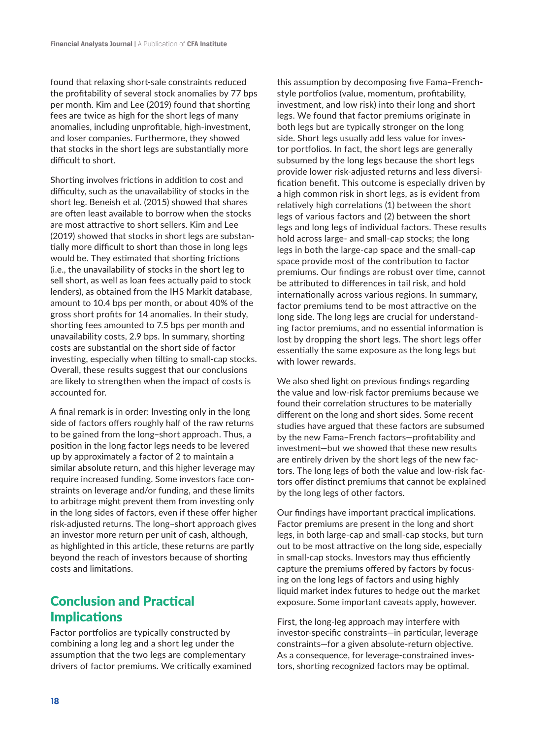found that relaxing short-sale constraints reduced the profitability of several stock anomalies by 77 bps per month. Kim and Lee (2019) found that shorting fees are twice as high for the short legs of many anomalies, including unprofitable, high-investment, and loser companies. Furthermore, they showed that stocks in the short legs are substantially more difficult to short.

Shorting involves frictions in addition to cost and difficulty, such as the unavailability of stocks in the short leg. Beneish et al. (2015) showed that shares are often least available to borrow when the stocks are most attractive to short sellers. Kim and Lee (2019) showed that stocks in short legs are substantially more difficult to short than those in long legs would be. They estimated that shorting frictions (i.e., the unavailability of stocks in the short leg to sell short, as well as loan fees actually paid to stock lenders), as obtained from the IHS Markit database, amount to 10.4 bps per month, or about 40% of the gross short profits for 14 anomalies. In their study, shorting fees amounted to 7.5 bps per month and unavailability costs, 2.9 bps. In summary, shorting costs are substantial on the short side of factor investing, especially when tilting to small-cap stocks. Overall, these results suggest that our conclusions are likely to strengthen when the impact of costs is accounted for.

A final remark is in order: Investing only in the long side of factors offers roughly half of the raw returns to be gained from the long–short approach. Thus, a position in the long factor legs needs to be levered up by approximately a factor of 2 to maintain a similar absolute return, and this higher leverage may require increased funding. Some investors face constraints on leverage and/or funding, and these limits to arbitrage might prevent them from investing only in the long sides of factors, even if these offer higher risk-adjusted returns. The long–short approach gives an investor more return per unit of cash, although, as highlighted in this article, these returns are partly beyond the reach of investors because of shorting costs and limitations.

## Conclusion and Practical **Implications**

Factor portfolios are typically constructed by combining a long leg and a short leg under the assumption that the two legs are complementary drivers of factor premiums. We critically examined this assumption by decomposing five Fama–Frenchstyle portfolios (value, momentum, profitability, investment, and low risk) into their long and short legs. We found that factor premiums originate in both legs but are typically stronger on the long side. Short legs usually add less value for investor portfolios. In fact, the short legs are generally subsumed by the long legs because the short legs provide lower risk-adjusted returns and less diversification benefit. This outcome is especially driven by a high common risk in short legs, as is evident from relatively high correlations (1) between the short legs of various factors and (2) between the short legs and long legs of individual factors. These results hold across large- and small-cap stocks; the long legs in both the large-cap space and the small-cap space provide most of the contribution to factor premiums. Our findings are robust over time, cannot be attributed to differences in tail risk, and hold internationally across various regions. In summary, factor premiums tend to be most attractive on the long side. The long legs are crucial for understanding factor premiums, and no essential information is lost by dropping the short legs. The short legs offer essentially the same exposure as the long legs but with lower rewards.

We also shed light on previous findings regarding the value and low-risk factor premiums because we found their correlation structures to be materially different on the long and short sides. Some recent studies have argued that these factors are subsumed by the new Fama–French factors—profitability and investment—but we showed that these new results are entirely driven by the short legs of the new factors. The long legs of both the value and low-risk factors offer distinct premiums that cannot be explained by the long legs of other factors.

Our findings have important practical implications. Factor premiums are present in the long and short legs, in both large-cap and small-cap stocks, but turn out to be most attractive on the long side, especially in small-cap stocks. Investors may thus efficiently capture the premiums offered by factors by focusing on the long legs of factors and using highly liquid market index futures to hedge out the market exposure. Some important caveats apply, however.

First, the long-leg approach may interfere with investor-specific constraints—in particular, leverage constraints—for a given absolute-return objective. As a consequence, for leverage-constrained investors, shorting recognized factors may be optimal.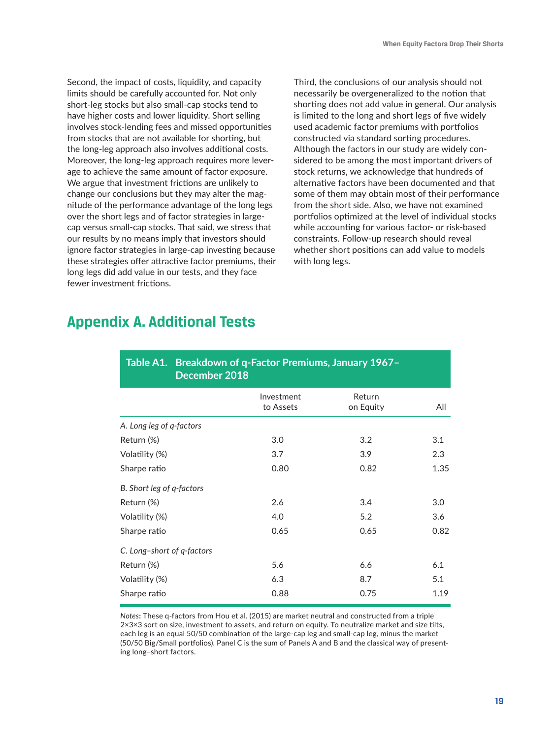Second, the impact of costs, liquidity, and capacity limits should be carefully accounted for. Not only short-leg stocks but also small-cap stocks tend to have higher costs and lower liquidity. Short selling involves stock-lending fees and missed opportunities from stocks that are not available for shorting, but the long-leg approach also involves additional costs. Moreover, the long-leg approach requires more leverage to achieve the same amount of factor exposure. We argue that investment frictions are unlikely to change our conclusions but they may alter the magnitude of the performance advantage of the long legs over the short legs and of factor strategies in largecap versus small-cap stocks. That said, we stress that our results by no means imply that investors should ignore factor strategies in large-cap investing because these strategies offer attractive factor premiums, their long legs did add value in our tests, and they face fewer investment frictions.

Third, the conclusions of our analysis should not necessarily be overgeneralized to the notion that shorting does not add value in general. Our analysis is limited to the long and short legs of five widely used academic factor premiums with portfolios constructed via standard sorting procedures. Although the factors in our study are widely considered to be among the most important drivers of stock returns, we acknowledge that hundreds of alternative factors have been documented and that some of them may obtain most of their performance from the short side. Also, we have not examined portfolios optimized at the level of individual stocks while accounting for various factor- or risk-based constraints. Follow-up research should reveal whether short positions can add value to models with long legs.

## **Appendix A. Additional Tests**

| Table A1. Breakdown of q-Factor Premiums, January 1967-<br>December 2018 |                         |                     |      |  |  |  |  |  |
|--------------------------------------------------------------------------|-------------------------|---------------------|------|--|--|--|--|--|
|                                                                          | Investment<br>to Assets | Return<br>on Equity | All  |  |  |  |  |  |
| A. Long leg of q-factors                                                 |                         |                     |      |  |  |  |  |  |
| Return (%)                                                               | 3.0                     | 3.2                 | 3.1  |  |  |  |  |  |
| Volatility (%)                                                           | 3.7                     | 3.9                 | 2.3  |  |  |  |  |  |
| Sharpe ratio                                                             | 0.80                    | 0.82                | 1.35 |  |  |  |  |  |
| B. Short leg of q-factors                                                |                         |                     |      |  |  |  |  |  |
| Return (%)                                                               | 2.6                     | 3.4                 | 3.0  |  |  |  |  |  |
| Volatility (%)                                                           | 4.0                     | 5.2                 | 3.6  |  |  |  |  |  |
| Sharpe ratio                                                             | 0.65                    | 0.65                | 0.82 |  |  |  |  |  |
| C. Long-short of q-factors                                               |                         |                     |      |  |  |  |  |  |
| Return (%)                                                               | 5.6                     | 6.6                 | 6.1  |  |  |  |  |  |
| Volatility (%)                                                           | 6.3                     | 8.7                 | 5.1  |  |  |  |  |  |
| Sharpe ratio                                                             | 0.88                    | 0.75                | 1.19 |  |  |  |  |  |

*Notes***:** These q-factors from Hou et al. (2015) are market neutral and constructed from a triple 2×3×3 sort on size, investment to assets, and return on equity. To neutralize market and size tilts, each leg is an equal 50/50 combination of the large-cap leg and small-cap leg, minus the market (50/50 Big/Small portfolios). Panel C is the sum of Panels A and B and the classical way of presenting long–short factors.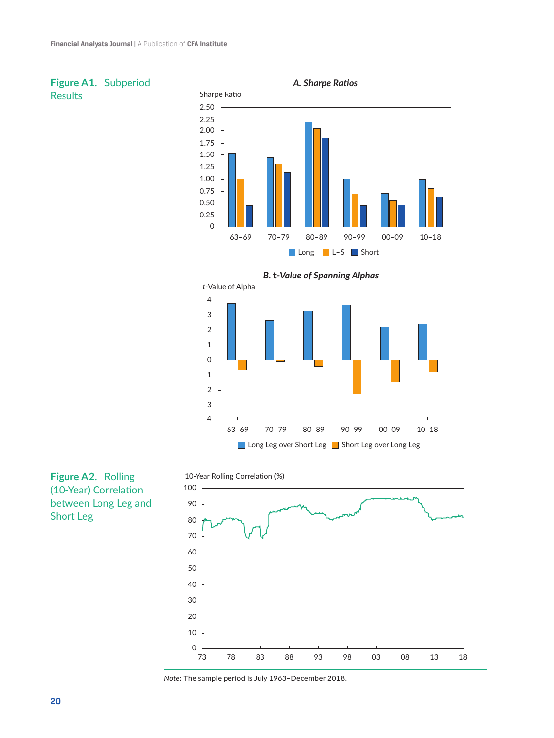



## **Figure A2.** Rolling (10-Year) Correlation between Long Leg and Short Leg





*Note***:** The sample period is July 1963–December 2018.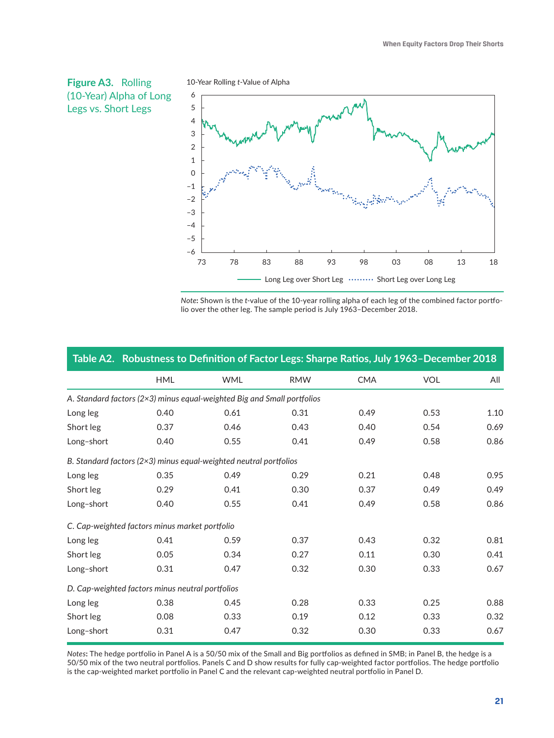

10-Year Rolling *t*-Value of Alpha



*Note***:** Shown is the *t*-value of the 10-year rolling alpha of each leg of the combined factor portfolio over the other leg. The sample period is July 1963–December 2018.

|            | Table A2. Robustness to Definition of Factor Legs: Sharpe Ratios, July 1963-December 2018 |            |            |            |            |      |
|------------|-------------------------------------------------------------------------------------------|------------|------------|------------|------------|------|
|            | <b>HML</b>                                                                                | <b>WML</b> | <b>RMW</b> | <b>CMA</b> | <b>VOL</b> | All  |
|            | A. Standard factors (2×3) minus equal-weighted Big and Small portfolios                   |            |            |            |            |      |
| Long leg   | 0.40                                                                                      | 0.61       | 0.31       | 0.49       | 0.53       | 1.10 |
| Short leg  | 0.37                                                                                      | 0.46       | 0.43       | 0.40       | 0.54       | 0.69 |
| Long-short | 0.40                                                                                      | 0.55       | 0.41       | 0.49       | 0.58       | 0.86 |
|            | B. Standard factors ( $2\times3$ ) minus equal-weighted neutral portfolios                |            |            |            |            |      |
| Long leg   | 0.35                                                                                      | 0.49       | 0.29       | 0.21       | 0.48       | 0.95 |
| Short leg  | 0.29                                                                                      | 0.41       | 0.30       | 0.37       | 0.49       | 0.49 |
| Long-short | 0.40                                                                                      | 0.55       | 0.41       | 0.49       | 0.58       | 0.86 |
|            | C. Cap-weighted factors minus market portfolio                                            |            |            |            |            |      |
| Long leg   | 0.41                                                                                      | 0.59       | 0.37       | 0.43       | 0.32       | 0.81 |
| Short leg  | 0.05                                                                                      | 0.34       | 0.27       | 0.11       | 0.30       | 0.41 |
| Long-short | 0.31                                                                                      | 0.47       | 0.32       | 0.30       | 0.33       | 0.67 |
|            | D. Cap-weighted factors minus neutral portfolios                                          |            |            |            |            |      |
| Long leg   | 0.38                                                                                      | 0.45       | 0.28       | 0.33       | 0.25       | 0.88 |
| Short leg  | 0.08                                                                                      | 0.33       | 0.19       | 0.12       | 0.33       | 0.32 |
| Long-short | 0.31                                                                                      | 0.47       | 0.32       | 0.30       | 0.33       | 0.67 |

*Notes***:** The hedge portfolio in Panel A is a 50/50 mix of the Small and Big portfolios as defined in SMB; in Panel B, the hedge is a 50/50 mix of the two neutral portfolios. Panels C and D show results for fully cap-weighted factor portfolios. The hedge portfolio is the cap-weighted market portfolio in Panel C and the relevant cap-weighted neutral portfolio in Panel D.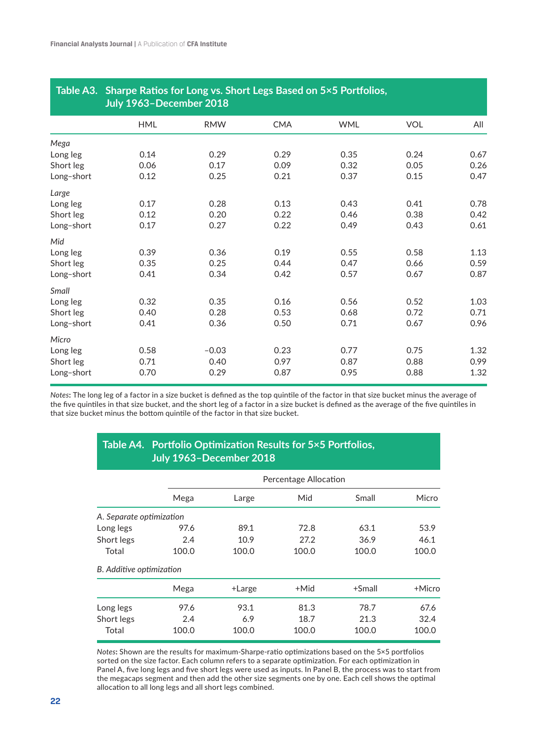| Table A3.  | Sharpe Ratios for Long vs. Short Legs Based on 5×5 Portfolios,<br>July 1963-December 2018 |            |            |            |            |      |  |  |
|------------|-------------------------------------------------------------------------------------------|------------|------------|------------|------------|------|--|--|
|            | <b>HML</b>                                                                                | <b>RMW</b> | <b>CMA</b> | <b>WML</b> | <b>VOL</b> | All  |  |  |
| Mega       |                                                                                           |            |            |            |            |      |  |  |
| Long leg   | 0.14                                                                                      | 0.29       | 0.29       | 0.35       | 0.24       | 0.67 |  |  |
| Short leg  | 0.06                                                                                      | 0.17       | 0.09       | 0.32       | 0.05       | 0.26 |  |  |
| Long-short | 0.12                                                                                      | 0.25       | 0.21       | 0.37       | 0.15       | 0.47 |  |  |
| Large      |                                                                                           |            |            |            |            |      |  |  |
| Long leg   | 0.17                                                                                      | 0.28       | 0.13       | 0.43       | 0.41       | 0.78 |  |  |
| Short leg  | 0.12                                                                                      | 0.20       | 0.22       | 0.46       | 0.38       | 0.42 |  |  |
| Long-short | 0.17                                                                                      | 0.27       | 0.22       | 0.49       | 0.43       | 0.61 |  |  |
| Mid        |                                                                                           |            |            |            |            |      |  |  |
| Long leg   | 0.39                                                                                      | 0.36       | 0.19       | 0.55       | 0.58       | 1.13 |  |  |
| Short leg  | 0.35                                                                                      | 0.25       | 0.44       | 0.47       | 0.66       | 0.59 |  |  |
| Long-short | 0.41                                                                                      | 0.34       | 0.42       | 0.57       | 0.67       | 0.87 |  |  |
| Small      |                                                                                           |            |            |            |            |      |  |  |
| Long leg   | 0.32                                                                                      | 0.35       | 0.16       | 0.56       | 0.52       | 1.03 |  |  |
| Short leg  | 0.40                                                                                      | 0.28       | 0.53       | 0.68       | 0.72       | 0.71 |  |  |
| Long-short | 0.41                                                                                      | 0.36       | 0.50       | 0.71       | 0.67       | 0.96 |  |  |
| Micro      |                                                                                           |            |            |            |            |      |  |  |
| Long leg   | 0.58                                                                                      | $-0.03$    | 0.23       | 0.77       | 0.75       | 1.32 |  |  |
| Short leg  | 0.71                                                                                      | 0.40       | 0.97       | 0.87       | 0.88       | 0.99 |  |  |
| Long-short | 0.70                                                                                      | 0.29       | 0.87       | 0.95       | 0.88       | 1.32 |  |  |

## **Table A3. Sharpe Ratios for Long vs. Short Legs Based on 5×5 Portfolios,**

*Notes***:** The long leg of a factor in a size bucket is defined as the top quintile of the factor in that size bucket minus the average of the five quintiles in that size bucket, and the short leg of a factor in a size bucket is defined as the average of the five quintiles in that size bucket minus the bottom quintile of the factor in that size bucket.

### **Table A4. Portfolio Optimization Results for 5×5 Portfolios, July 1963–December 2018**

|                          |       | Percentage Allocation |       |           |        |  |  |
|--------------------------|-------|-----------------------|-------|-----------|--------|--|--|
|                          | Mega  | Large                 | Mid   | Small     | Micro  |  |  |
| A. Separate optimization |       |                       |       |           |        |  |  |
| Long legs                | 97.6  | 89.1                  | 72.8  | 63.1      | 53.9   |  |  |
| Short legs               | 2.4   | 10.9                  | 27.2  | 36.9      | 46.1   |  |  |
| Total                    | 100.0 | 100.0                 | 100.0 | 100.0     | 100.0  |  |  |
| B. Additive optimization |       |                       |       |           |        |  |  |
|                          | Mega  | +Large                | +Mid  | $+$ Small | +Micro |  |  |
| Long legs                | 97.6  | 93.1                  | 81.3  | 78.7      | 67.6   |  |  |
| Short legs               | 2.4   | 6.9                   | 18.7  | 21.3      | 32.4   |  |  |
| Total                    | 100.0 | 100.0                 | 100.0 | 100.0     | 100.0  |  |  |

*Notes***:** Shown are the results for maximum-Sharpe-ratio optimizations based on the 5×5 portfolios sorted on the size factor. Each column refers to a separate optimization. For each optimization in Panel A, five long legs and five short legs were used as inputs. In Panel B, the process was to start from the megacaps segment and then add the other size segments one by one. Each cell shows the optimal allocation to all long legs and all short legs combined.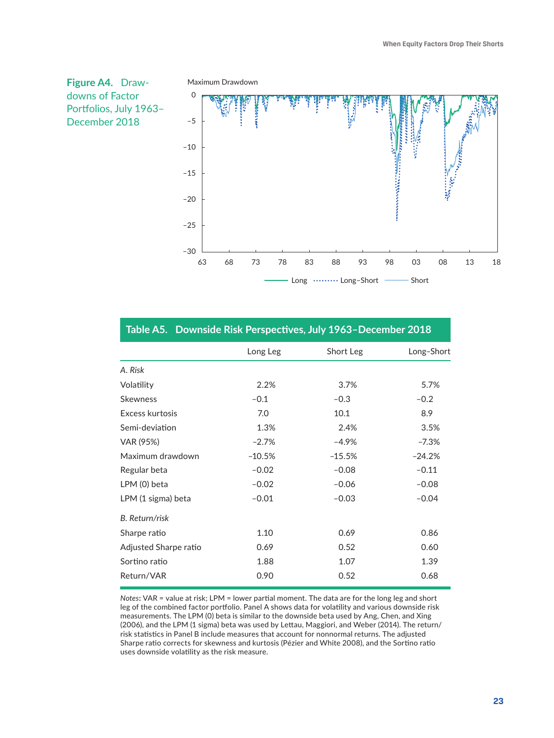

|            | Table Ab. Downside Risk Ferspectives, July 1700 December 2010 |           |            |
|------------|---------------------------------------------------------------|-----------|------------|
|            | Long Leg                                                      | Short Leg | Long-Short |
| A. Risk    |                                                               |           |            |
| Volatility | 2.2%                                                          | 3.7%      | 5.7%       |
| Skewness   | $-0.1$                                                        | $-0.3$    | $-0.2$     |

#### **Table A5. Downside Risk Perspectives, July 1963–December 2018**

| 2.2%     | 3.7%     | 5.7%     |
|----------|----------|----------|
| $-0.1$   | $-0.3$   | $-0.2$   |
| 7.0      | 10.1     | 8.9      |
| 1.3%     | 2.4%     | 3.5%     |
| $-2.7%$  | $-4.9%$  | $-7.3%$  |
| $-10.5%$ | $-15.5%$ | $-24.2%$ |
| $-0.02$  | $-0.08$  | $-0.11$  |
| $-0.02$  | $-0.06$  | $-0.08$  |
| $-0.01$  | $-0.03$  | $-0.04$  |
|          |          |          |
| 1.10     | 0.69     | 0.86     |
| 0.69     | 0.52     | 0.60     |
| 1.88     | 1.07     | 1.39     |
| 0.90     | 0.52     | 0.68     |
|          |          |          |

*Notes***:** VAR = value at risk; LPM = lower partial moment. The data are for the long leg and short leg of the combined factor portfolio. Panel A shows data for volatility and various downside risk measurements. The LPM (0) beta is similar to the downside beta used by Ang, Chen, and Xing (2006), and the LPM (1 sigma) beta was used by Lettau, Maggiori, and Weber (2014). The return/ risk statistics in Panel B include measures that account for nonnormal returns. The adjusted Sharpe ratio corrects for skewness and kurtosis (Pézier and White 2008), and the Sortino ratio uses downside volatility as the risk measure.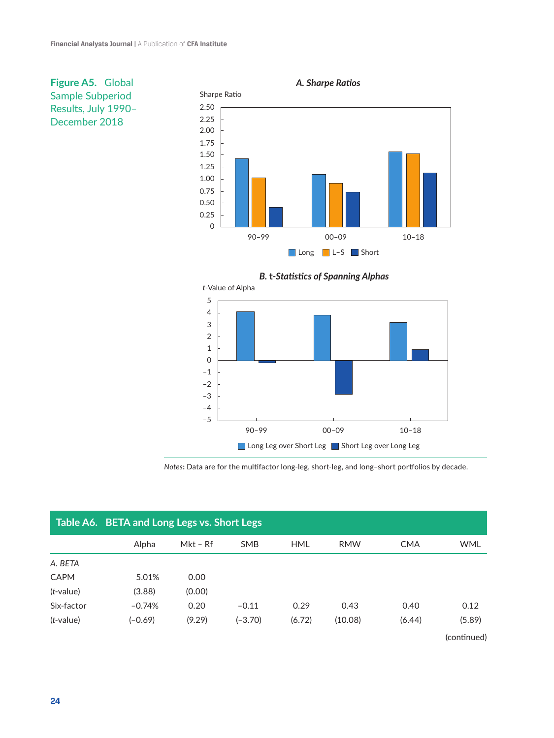

**Figure A5.** Global Sample Subperiod Results, July 1990– December 2018



*Notes***:** Data are for the multifactor long-leg, short-leg, and long–short portfolios by decade.

|              | Table A6. BETA and Long Legs vs. Short Legs |            |            |            |            |            |             |  |  |
|--------------|---------------------------------------------|------------|------------|------------|------------|------------|-------------|--|--|
|              | Alpha                                       | $Mkt - Rf$ | <b>SMB</b> | <b>HML</b> | <b>RMW</b> | <b>CMA</b> | <b>WML</b>  |  |  |
| A. BETA      |                                             |            |            |            |            |            |             |  |  |
| <b>CAPM</b>  | 5.01%                                       | 0.00       |            |            |            |            |             |  |  |
| $(t$ -value) | (3.88)                                      | (0.00)     |            |            |            |            |             |  |  |
| Six-factor   | $-0.74%$                                    | 0.20       | $-0.11$    | 0.29       | 0.43       | 0.40       | 0.12        |  |  |
| $(t$ -value) | $(-0.69)$                                   | (9.29)     | (-3.70)    | (6.72)     | (10.08)    | (6.44)     | (5.89)      |  |  |
|              |                                             |            |            |            |            |            | (continued) |  |  |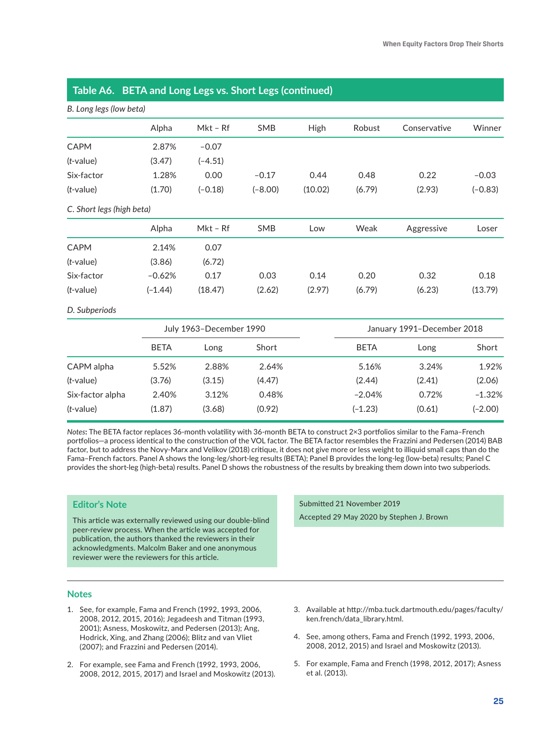| B. Long legs (low beta)   |                         |            |            |         |             |                            |           |
|---------------------------|-------------------------|------------|------------|---------|-------------|----------------------------|-----------|
|                           | Alpha                   | $Mkt - Rf$ | SMB        | High    | Robust      | Conservative               | Winner    |
| <b>CAPM</b>               | 2.87%                   | $-0.07$    |            |         |             |                            |           |
| $(t$ -value)              | (3.47)                  | $(-4.51)$  |            |         |             |                            |           |
| Six-factor                | 1.28%                   | 0.00       | $-0.17$    | 0.44    | 0.48        | 0.22                       | $-0.03$   |
| $(t$ -value)              | (1.70)                  | $(-0.18)$  | $(-8.00)$  | (10.02) | (6.79)      | (2.93)                     | $(-0.83)$ |
| C. Short legs (high beta) |                         |            |            |         |             |                            |           |
|                           | Alpha                   | Mkt - Rf   | <b>SMB</b> | Low     | Weak        | Aggressive                 | Loser     |
| <b>CAPM</b>               | 2.14%                   | 0.07       |            |         |             |                            |           |
| $(t$ -value)              | (3.86)                  | (6.72)     |            |         |             |                            |           |
| Six-factor                | $-0.62%$                | 0.17       | 0.03       | 0.14    | 0.20        | 0.32                       | 0.18      |
| $(t$ -value)              | $(-1.44)$               | (18.47)    | (2.62)     | (2.97)  | (6.79)      | (6.23)                     | (13.79)   |
| D. Subperiods             |                         |            |            |         |             |                            |           |
|                           | July 1963-December 1990 |            |            |         |             | January 1991-December 2018 |           |
|                           | <b>BETA</b>             | Long       | Short      |         | <b>BETA</b> | Long                       | Short     |
| CAPM alpha                | 5.52%                   | 2.88%      | 2.64%      |         | 5.16%       | 3.24%                      | 1.92%     |
| $(t$ -value)              | (3.76)                  | (3.15)     | (4.47)     |         | (2.44)      | (2.41)                     | (2.06)    |
| Six-factor alpha          | 2.40%                   | 3.12%      | 0.48%      |         | $-2.04%$    | 0.72%                      | $-1.32%$  |
| $(t$ -value)              | (1.87)                  | (3.68)     | (0.92)     |         | $(-1.23)$   | (0.61)                     | $(-2.00)$ |

#### **Table A6. BETA and Long Legs vs. Short Legs (continued)**

*Notes***:** The BETA factor replaces 36-month volatility with 36-month BETA to construct 2×3 portfolios similar to the Fama–French portfolios—a process identical to the construction of the VOL factor. The BETA factor resembles the Frazzini and Pedersen (2014) BAB factor, but to address the Novy-Marx and Velikov (2018) critique, it does not give more or less weight to illiquid small caps than do the Fama–French factors. Panel A shows the long-leg/short-leg results (BETA); Panel B provides the long-leg (low-beta) results; Panel C provides the short-leg (high-beta) results. Panel D shows the robustness of the results by breaking them down into two subperiods.

#### **Editor's Note**

This article was externally reviewed using our double-blind peer-review process. When the article was accepted for publication, the authors thanked the reviewers in their acknowledgments. Malcolm Baker and one anonymous reviewer were the reviewers for this article.

#### **Notes**

- 1. See, for example, Fama and French (1992, 1993, 2006, 2008, 2012, 2015, 2016); Jegadeesh and Titman (1993, 2001); Asness, Moskowitz, and Pedersen (2013); Ang, Hodrick, Xing, and Zhang (2006); Blitz and van Vliet (2007); and Frazzini and Pedersen (2014).
- 2. For example, see Fama and French (1992, 1993, 2006, 2008, 2012, 2015, 2017) and Israel and Moskowitz (2013).

Submitted 21 November 2019 Accepted 29 May 2020 by Stephen J. Brown

- 3. Available at [http://mba.tuck.dartmouth.edu/pages/faculty/](http://mba.tuck.dartmouth.edu/pages/faculty/ken.french/data_library.html) [ken.french/data\\_library.html.](http://mba.tuck.dartmouth.edu/pages/faculty/ken.french/data_library.html)
- 4. See, among others, Fama and French (1992, 1993, 2006, 2008, 2012, 2015) and Israel and Moskowitz (2013).
- 5. For example, Fama and French (1998, 2012, 2017); Asness et al. (2013).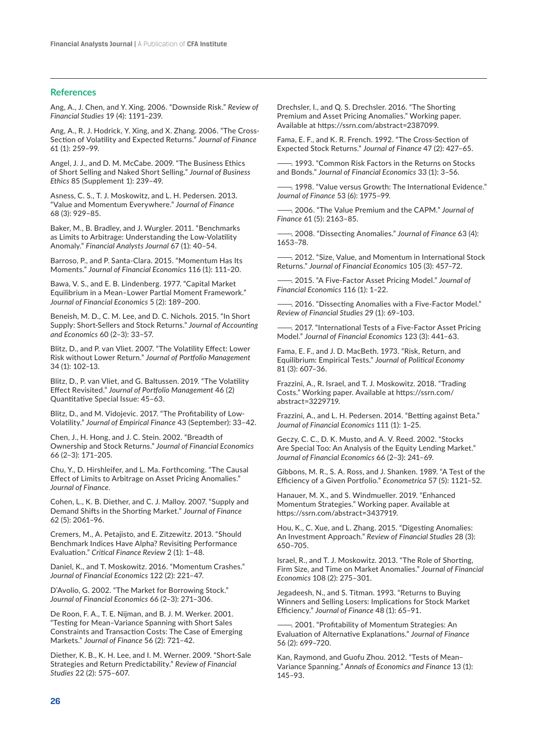#### **References**

[Ang, A., J. Chen, and Y. Xing. 2006. "Downside Risk."](https://doi.org/doi:10.1093/rfs/hhj035) *Review of Financial Studies* [19 \(4\): 1191–239.](https://doi.org/doi:10.1093/rfs/hhj035)

[Ang, A., R. J. Hodrick, Y. Xing, and X. Zhang. 2006. "The Cross‐](https://doi.org/doi:10.1111/j.1540-6261.2006.00836.x) [Section of Volatility and Expected Returns."](https://doi.org/doi:10.1111/j.1540-6261.2006.00836.x) *Journal of Finance* [61 \(1\): 259–99.](https://doi.org/doi:10.1111/j.1540-6261.2006.00836.x)

[Angel, J. J., and D. M. McCabe. 2009. "The Business Ethics](https://doi.org/doi:10.1007/s10551-008-9943-5)  [of Short Selling and Naked Short Selling."](https://doi.org/doi:10.1007/s10551-008-9943-5) *Journal of Business Ethics* [85 \(Supplement 1\): 239–49](https://doi.org/doi:10.1007/s10551-008-9943-5).

[Asness, C. S., T. J. Moskowitz, and L. H. Pedersen. 2013.](https://doi.org/doi:10.1111/jofi.12021)  ["Value and Momentum Everywhere."](https://doi.org/doi:10.1111/jofi.12021) *Journal of Finance* [68 \(3\): 929–85](https://doi.org/doi:10.1111/jofi.12021).

[Baker, M., B. Bradley, and J. Wurgler. 2011. "Benchmarks](https://doi.org/doi:10.2469/faj.v67.n1.4)  [as Limits to Arbitrage: Understanding the Low-Volatility](https://doi.org/doi:10.2469/faj.v67.n1.4)  Anomaly." *[Financial Analysts Journal](https://doi.org/doi:10.2469/faj.v67.n1.4)* 67 (1): 40–54.

[Barroso, P., and P. Santa-Clara. 2015. "Momentum Has Its](https://doi.org/doi:10.1016/j.jfineco.2014.11.010)  Moments." *[Journal of Financial Economics](https://doi.org/doi:10.1016/j.jfineco.2014.11.010)* 116 (1): 111–20.

[Bawa, V. S., and E. B. Lindenberg. 1977. "Capital Market](https://doi.org/doi:10.1016/0304-405X(77)90017-4)  [Equilibrium in a Mean–Lower Partial Moment Framework."](https://doi.org/doi:10.1016/0304-405X(77)90017-4)  *[Journal of Financial Economics](https://doi.org/doi:10.1016/0304-405X(77)90017-4)* 5 (2): 189–200.

[Beneish, M. D., C. M. Lee, and D. C. Nichols. 2015. "In Short](https://doi.org/doi:10.1016/j.jacceco.2015.08.001)  [Supply: Short-Sellers and Stock Returns."](https://doi.org/doi:10.1016/j.jacceco.2015.08.001) *Journal of Accounting and Economics* [60 \(2–3\): 33–57.](https://doi.org/doi:10.1016/j.jacceco.2015.08.001)

[Blitz, D., and P. van Vliet. 2007. "The Volatility Effect: Lower](https://doi.org/doi:10.3905/jpm.2007.698039)  Risk without Lower Return." *[Journal of Portfolio Management](https://doi.org/doi:10.3905/jpm.2007.698039)* [34 \(1\): 102–13](https://doi.org/doi:10.3905/jpm.2007.698039).

[Blitz, D., P. van Vliet, and G. Baltussen. 2019. "The Volatility](https://doi.org/doi:10.3905/jpm.2019.1.114)  Effect Revisited." *[Journal of Portfolio Management](https://doi.org/doi:10.3905/jpm.2019.1.114)* 46 (2) [Quantitative Special Issue: 45–63.](https://doi.org/doi:10.3905/jpm.2019.1.114)

[Blitz, D., and M. Vidojevic. 2017. "The Profitability of Low-](https://doi.org/doi:10.1016/j.jempfin.2017.05.001)Volatility." *[Journal of Empirical Finance](https://doi.org/doi:10.1016/j.jempfin.2017.05.001)* 43 (September): 33–42.

[Chen, J., H. Hong, and J. C. Stein. 2002. "Breadth of](https://doi.org/doi:10.1016/S0304-405X(02)00223-4)  [Ownership and Stock Returns."](https://doi.org/doi:10.1016/S0304-405X(02)00223-4) *Journal of Financial Economics* [66 \(2–3\): 171–205.](https://doi.org/doi:10.1016/S0304-405X(02)00223-4)

[Chu, Y., D. Hirshleifer, and L. Ma. Forthcoming. "The Causal](https://doi.org/doi:10.1111/jofi.12947)  [Effect of Limits to Arbitrage on Asset Pricing Anomalies."](https://doi.org/doi:10.1111/jofi.12947)  *[Journal of Finance](https://doi.org/doi:10.1111/jofi.12947)*.

[Cohen, L., K. B. Diether, and C. J. Malloy. 2007. "Supply and](https://doi.org/doi:10.1111/j.1540-6261.2007.01269.x)  [Demand Shifts in the Shorting Market."](https://doi.org/doi:10.1111/j.1540-6261.2007.01269.x) *Journal of Finance* [62 \(5\): 2061–96.](https://doi.org/doi:10.1111/j.1540-6261.2007.01269.x)

[Cremers, M., A. Petajisto, and E. Zitzewitz. 2013. "Should](https://doi.org/doi:10.1561/104.00000007)  [Benchmark Indices Have Alpha? Revisiting Performance](https://doi.org/doi:10.1561/104.00000007)  Evaluation." *[Critical Finance Review](https://doi.org/doi:10.1561/104.00000007)* 2 (1): 1–48.

[Daniel, K., and T. Moskowitz. 2016. "Momentum Crashes."](https://doi.org/doi:10.1016/j.jfineco.2015.12.002)  *[Journal of Financial Economics](https://doi.org/doi:10.1016/j.jfineco.2015.12.002)* 122 (2): 221–47.

[D'Avolio, G. 2002. "The Market for Borrowing Stock."](https://doi.org/doi:10.1016/S0304-405X(02)00206-4)  *[Journal of Financial Economics](https://doi.org/doi:10.1016/S0304-405X(02)00206-4)* 66 (2–3): 271–306.

De Roon, F. A., T. E. Nijman, and B. J. M. Werker. 2001. "Testing for Mean–Variance Spanning with Short Sales Constraints and Transaction Costs: The Case of Emerging Markets." *Journal of Finance* 56 (2): 721–42.

[Diether, K. B., K. H. Lee, and I. M. Werner. 2009. "Short-Sale](https://doi.org/doi:10.1093/rfs/hhn047)  [Strategies and Return Predictability."](https://doi.org/doi:10.1093/rfs/hhn047) *Review of Financial Studies* [22 \(2\): 575–607](https://doi.org/doi:10.1093/rfs/hhn047).

Drechsler, I., and Q. S. Drechsler. 2016. "The Shorting Premium and Asset Pricing Anomalies." Working paper. Available at [https://ssrn.com/abstract=2387099.](https://ssrn.com/abstract=2387099)

[Fama, E. F., and K. R. French. 1992. "The Cross‐Section of](https://doi.org/doi:10.1111/j.1540-6261.1992.tb04398.x)  [Expected Stock Returns."](https://doi.org/doi:10.1111/j.1540-6261.1992.tb04398.x) *Journal of Finance* 47 (2): 427–65.

. 1993. "Common Risk Factors in the Returns on Stocks and Bonds." *[Journal of Financial Economics](https://doi.org/doi:10.1016/0304-405X(93)90023-5)* 33 (1): 3–56.

-. 1998. "Value versus Growth: The International Evidence." *[Journal of Finance](https://doi.org/doi:10.1111/0022-1082.00080)* 53 (6): 1975–99.

[———. 2006. "The Value Premium and the CAPM."](https://doi.org/doi:10.1111/j.1540-6261.2006.01054.x) *Journal of Finance* [61 \(5\): 2163–85](https://doi.org/doi:10.1111/j.1540-6261.2006.01054.x).

[———. 2008. "Dissecting Anomalies."](https://doi.org/doi:10.1111/j.1540-6261.2008.01371.x) *Journal of Finance* 63 (4): [1653–78.](https://doi.org/doi:10.1111/j.1540-6261.2008.01371.x)

[———. 2012. "Size, Value, and Momentum in International Stock](https://doi.org/doi:10.1016/j.jfineco.2012.05.011)  Returns." *[Journal of Financial Economics](https://doi.org/doi:10.1016/j.jfineco.2012.05.011)* 105 (3): 457–72.

[———. 2015. "A Five-Factor Asset Pricing Model."](https://doi.org/doi:10.1016/j.jfineco.2014.10.010) *Journal of [Financial Economics](https://doi.org/doi:10.1016/j.jfineco.2014.10.010)* 116 (1): 1–22.

[———. 2016. "Dissecting Anomalies with a Five-Factor Model."](https://doi.org/doi:10.1093/rfs/hhv043)  *[Review of Financial Studies](https://doi.org/doi:10.1093/rfs/hhv043)* 29 (1): 69–103.

-. 2017. "International Tests of a Five-Factor Asset Pricing Model." *[Journal of Financial Economics](https://doi.org/doi:10.1016/j.jfineco.2016.11.004)* 123 (3): 441–63.

Fama, E. F., and J. D. MacBeth. 1973. "Risk, Return, and Equilibrium: Empirical Tests." *Journal of Political Economy* 81 (3): 607–36.

[Frazzini, A., R. Israel, and T. J. Moskowitz. 2018. "Trading](https://doi.org/doi:10.2139/ssrn.3229719)  [Costs." Working paper](https://doi.org/doi:10.2139/ssrn.3229719). Available at [https://ssrn.com/](https://ssrn.com/abstract=3229719) [abstract=3229719.](https://ssrn.com/abstract=3229719)

[Frazzini, A., and L. H. Pedersen. 2014. "Betting against Beta."](https://doi.org/doi:10.1016/j.jfineco.2013.10.005)  *[Journal of Financial Economics](https://doi.org/doi:10.1016/j.jfineco.2013.10.005)* 111 (1): 1–25.

[Geczy, C. C., D. K. Musto, and A. V. Reed. 2002. "Stocks](https://doi.org/doi:10.1016/S0304-405X(02)00225-8)  [Are Special Too: An Analysis of the Equity Lending Market."](https://doi.org/doi:10.1016/S0304-405X(02)00225-8)  *[Journal of Financial Economics](https://doi.org/doi:10.1016/S0304-405X(02)00225-8)* 66 (2–3): 241–69.

[Gibbons, M. R., S. A. Ross, and J. Shanken. 1989. "A Test of the](https://doi.org/doi:10.2307/1913625)  [Efficiency of a Given Portfolio."](https://doi.org/doi:10.2307/1913625) *Econometrica* 57 (5): 1121–52.

[Hanauer, M. X., and S. Windmueller. 2019. "Enhanced](https://doi.org/doi:10.2139/ssrn.3437919)  [Momentum Strategies." Working paper.](https://doi.org/doi:10.2139/ssrn.3437919) Available at <https://ssrn.com/abstract=3437919>.

[Hou, K., C. Xue, and L. Zhang. 2015. "Digesting Anomalies:](https://doi.org/doi:10.1093/rfs/hhu068)  [An Investment Approach."](https://doi.org/doi:10.1093/rfs/hhu068) *Review of Financial Studies* 28 (3): [650–705](https://doi.org/doi:10.1093/rfs/hhu068).

[Israel, R., and T. J. Moskowitz. 2013. "The Role of Shorting,](https://doi.org/doi:10.1016/j.jfineco.2012.11.005)  [Firm Size, and Time on Market Anomalies."](https://doi.org/doi:10.1016/j.jfineco.2012.11.005) *Journal of Financial Economics* [108 \(2\): 275–301.](https://doi.org/doi:10.1016/j.jfineco.2012.11.005)

[Jegadeesh, N., and S. Titman. 1993. "Returns to Buying](https://doi.org/doi:10.1111/j.1540-6261.1993.tb04702.x)  [Winners and Selling Losers: Implications for Stock Market](https://doi.org/doi:10.1111/j.1540-6261.1993.tb04702.x)  Efficiency." *[Journal of Finance](https://doi.org/doi:10.1111/j.1540-6261.1993.tb04702.x)* 48 (1): 65–91.

 $-$ . 2001. "Profitability of Momentum Strategies: An [Evaluation of Alternative Explanations."](https://doi.org/doi:10.1111/0022-1082.00342) *Journal of Finance* [56 \(2\): 699–720](https://doi.org/doi:10.1111/0022-1082.00342).

Kan, Raymond, and Guofu Zhou. 2012. "Tests of Mean– Variance Spanning." *Annals of Economics and Finance* 13 (1): 145–93.